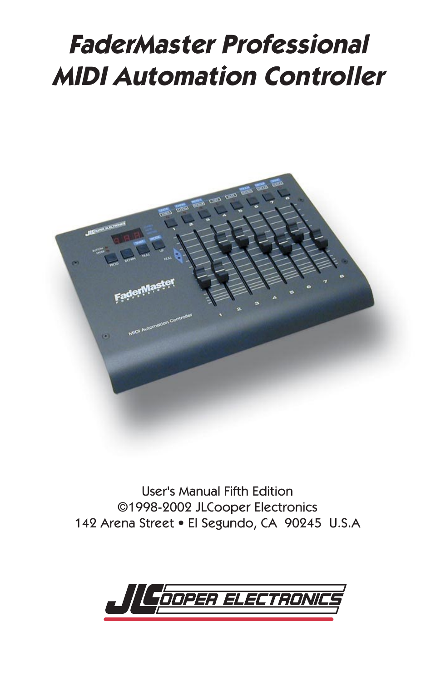# **FaderMaster Professional MIDI Automation Controller**



User's Manual Fifth Edition ©1998-2002 JLCooper Electronics 142 Arena Street • El Segundo, CA 90245 U.S.A

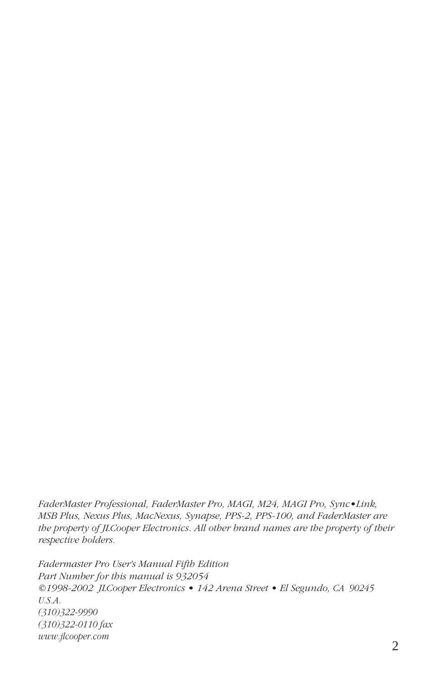*FaderMaster Professional, FaderMaster Pro, MAGI, M24, MAGI Pro, Sync•Link, MSB Plus, Nexus Plus, MacNexus, Synapse, PPS-2, PPS-100, and FaderMaster are the property of JLCooper Electronics. All other brand names are the property of their respective holders.*

*Fadermaster Pro User's Manual Fifth Edition Part Number for this manual is 932054 ©1998-2002 JLCooper Electronics • 142 Arena Street • El Segundo, CA 90245 U.S.A. (310)322-9990 (310)322-0110 fax www.jlcooper.com*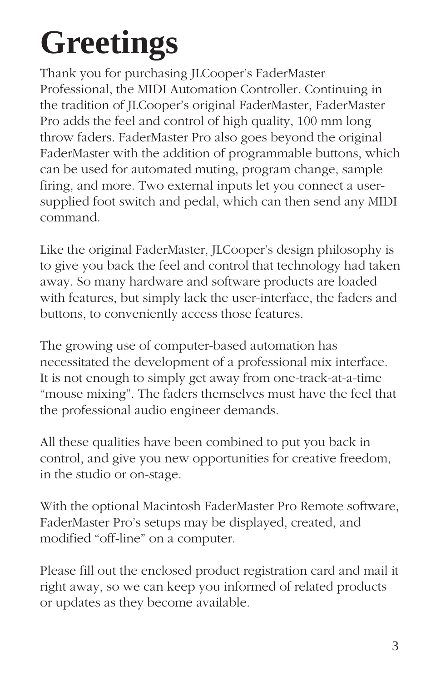# **Greetings**

Thank you for purchasing JLCooper's FaderMaster Professional, the MIDI Automation Controller. Continuing in the tradition of JLCooper's original FaderMaster, FaderMaster Pro adds the feel and control of high quality, 100 mm long throw faders. FaderMaster Pro also goes beyond the original FaderMaster with the addition of programmable buttons, which can be used for automated muting, program change, sample firing, and more. Two external inputs let you connect a usersupplied foot switch and pedal, which can then send any MIDI command.

Like the original FaderMaster, JLCooper's design philosophy is to give you back the feel and control that technology had taken away. So many hardware and software products are loaded with features, but simply lack the user-interface, the faders and buttons, to conveniently access those features.

The growing use of computer-based automation has necessitated the development of a professional mix interface. It is not enough to simply get away from one-track-at-a-time "mouse mixing". The faders themselves must have the feel that the professional audio engineer demands.

All these qualities have been combined to put you back in control, and give you new opportunities for creative freedom, in the studio or on-stage.

With the optional Macintosh FaderMaster Pro Remote software, FaderMaster Pro's setups may be displayed, created, and modified "off-line" on a computer.

Please fill out the enclosed product registration card and mail it right away, so we can keep you informed of related products or updates as they become available.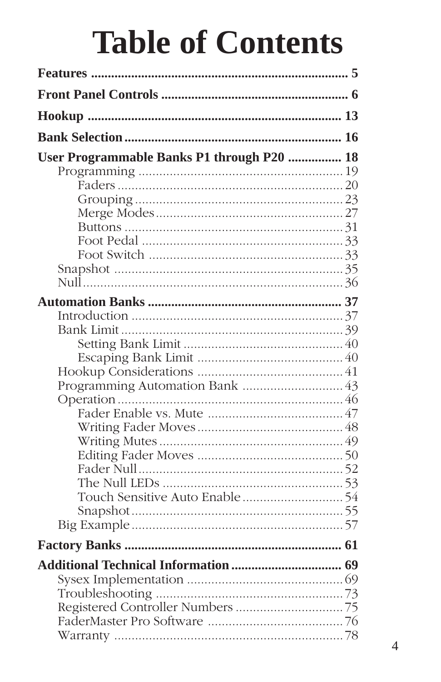# **Table of Contents**

| User Programmable Banks P1 through P20  18 |  |
|--------------------------------------------|--|
|                                            |  |
|                                            |  |
|                                            |  |
|                                            |  |
|                                            |  |
|                                            |  |
|                                            |  |
|                                            |  |
|                                            |  |
|                                            |  |
|                                            |  |
|                                            |  |
|                                            |  |
|                                            |  |
|                                            |  |
|                                            |  |
|                                            |  |
|                                            |  |
|                                            |  |
|                                            |  |
|                                            |  |
|                                            |  |
|                                            |  |
|                                            |  |
|                                            |  |
|                                            |  |
|                                            |  |
|                                            |  |
|                                            |  |
|                                            |  |
|                                            |  |
|                                            |  |
|                                            |  |
|                                            |  |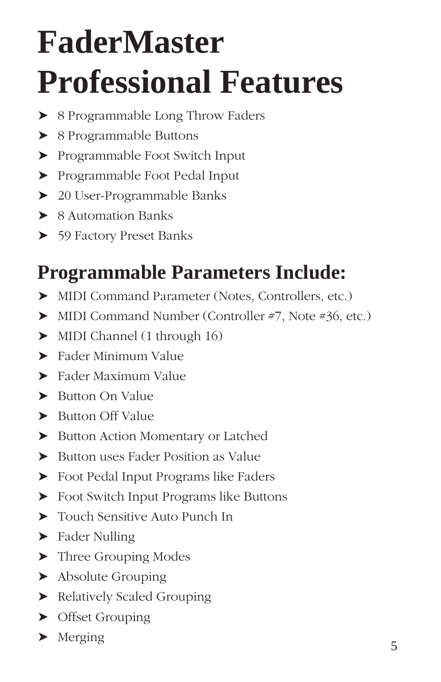# **FaderMaster Professional Features**

- ➤ 8 Programmable Long Throw Faders
- ➤ 8 Programmable Buttons
- ➤ Programmable Foot Switch Input
- ➤ Programmable Foot Pedal Input
- ➤ 20 User-Programmable Banks
- ➤ 8 Automation Banks
- ➤ 59 Factory Preset Banks

# **Programmable Parameters Include:**

- ➤ MIDI Command Parameter (Notes, Controllers, etc.)
- ➤ MIDI Command Number (Controller #7, Note #36, etc.)
- ➤ MIDI Channel (1 through 16)
- ➤ Fader Minimum Value
- ➤ Fader Maximum Value
- ▶ Button On Value
- ➤ Button Off Value
- ➤ Button Action Momentary or Latched
- ➤ Button uses Fader Position as Value
- ➤ Foot Pedal Input Programs like Faders
- ➤ Foot Switch Input Programs like Buttons
- ➤ Touch Sensitive Auto Punch In
- ▶ Fader Nulling
- ➤ Three Grouping Modes
- ➤ Absolute Grouping
- ➤ Relatively Scaled Grouping
- ➤ Offset Grouping
- $\blacktriangleright$  Merging  $\frac{1}{5}$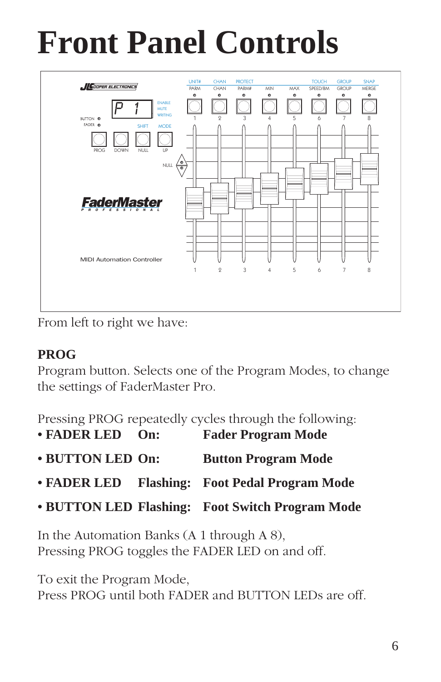# **Front Panel Controls**



From left to right we have:

# **PROG**

Program button. Selects one of the Program Modes, to change the settings of FaderMaster Pro.

Pressing PROG repeatedly cycles through the following:

- **FADER LED On: Fader Program Mode**
- **BUTTON LED On: Button Program Mode**
- **FADER LED Flashing: Foot Pedal Program Mode**
- **BUTTON LED Flashing: Foot Switch Program Mode**

In the Automation Banks (A 1 through A 8), Pressing PROG toggles the FADER LED on and off.

To exit the Program Mode, Press PROG until both FADER and BUTTON LEDs are off.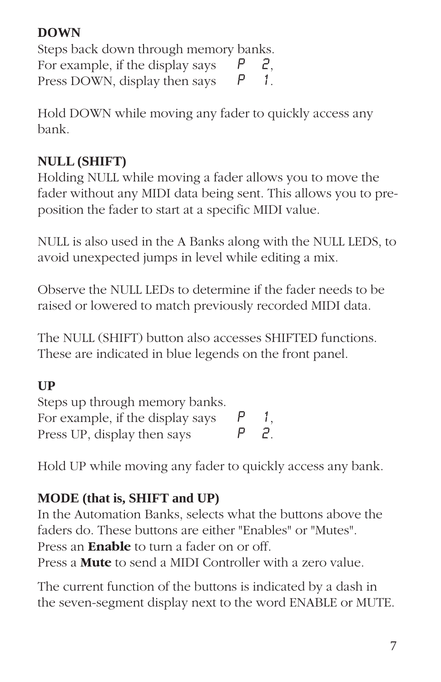### **DOWN**

Steps back down through memory banks. For example, if the display says  $P$  2,<br>Press DOWN, display then says  $P$  1. Press DOWN, display then says

Hold DOWN while moving any fader to quickly access any bank.

## **NULL (SHIFT)**

Holding NULL while moving a fader allows you to move the fader without any MIDI data being sent. This allows you to preposition the fader to start at a specific MIDI value.

NULL is also used in the A Banks along with the NULL LEDS, to avoid unexpected jumps in level while editing a mix.

Observe the NULL LEDs to determine if the fader needs to be raised or lowered to match previously recorded MIDI data.

The NULL (SHIFT) button also accesses SHIFTED functions. These are indicated in blue legends on the front panel.

## **UP**

| Steps up through memory banks.   |                 |
|----------------------------------|-----------------|
| For example, if the display says | $\mathcal{I}$ . |
| Press UP, display then says      | 2.              |

Hold UP while moving any fader to quickly access any bank.

## **MODE (that is, SHIFT and UP)**

In the Automation Banks, selects what the buttons above the faders do. These buttons are either "Enables" or "Mutes". Press an **Enable** to turn a fader on or off. Press a **Mute** to send a MIDI Controller with a zero value.

The current function of the buttons is indicated by a dash in the seven-segment display next to the word ENABLE or MUTE.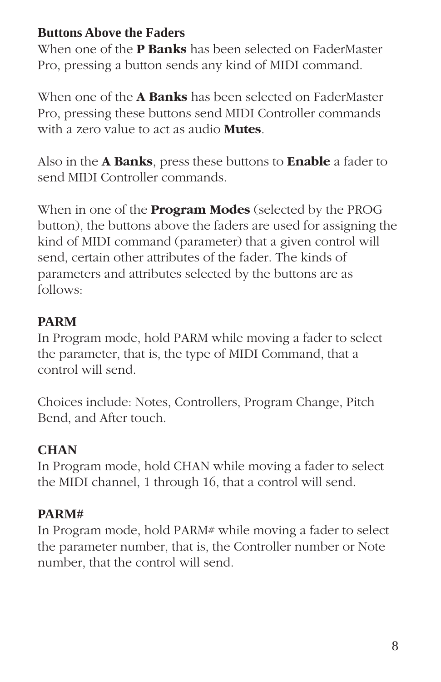#### **Buttons Above the Faders**

When one of the **P Banks** has been selected on FaderMaster Pro, pressing a button sends any kind of MIDI command.

When one of the **A Banks** has been selected on FaderMaster Pro, pressing these buttons send MIDI Controller commands with a zero value to act as audio **Mutes**.

Also in the **A Banks**, press these buttons to **Enable** a fader to send MIDI Controller commands.

When in one of the **Program Modes** (selected by the PROG button), the buttons above the faders are used for assigning the kind of MIDI command (parameter) that a given control will send, certain other attributes of the fader. The kinds of parameters and attributes selected by the buttons are as follows:

### **PARM**

In Program mode, hold PARM while moving a fader to select the parameter, that is, the type of MIDI Command, that a control will send.

Choices include: Notes, Controllers, Program Change, Pitch Bend, and After touch.

# **CHAN**

In Program mode, hold CHAN while moving a fader to select the MIDI channel, 1 through 16, that a control will send.

## **PARM#**

In Program mode, hold PARM# while moving a fader to select the parameter number, that is, the Controller number or Note number, that the control will send.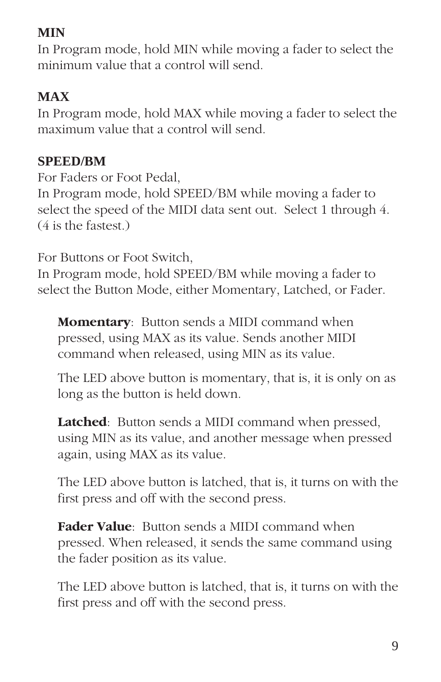## **MIN**

In Program mode, hold MIN while moving a fader to select the minimum value that a control will send.

# **MAX**

In Program mode, hold MAX while moving a fader to select the maximum value that a control will send.

### **SPEED/BM**

For Faders or Foot Pedal, In Program mode, hold SPEED/BM while moving a fader to select the speed of the MIDI data sent out. Select 1 through 4. (4 is the fastest.)

For Buttons or Foot Switch,

In Program mode, hold SPEED/BM while moving a fader to select the Button Mode, either Momentary, Latched, or Fader.

**Momentary**: Button sends a MIDI command when pressed, using MAX as its value. Sends another MIDI command when released, using MIN as its value.

The LED above button is momentary, that is, it is only on as long as the button is held down.

**Latched**: Button sends a MIDI command when pressed, using MIN as its value, and another message when pressed again, using MAX as its value.

The LED above button is latched, that is, it turns on with the first press and off with the second press.

**Fader Value**: Button sends a MIDI command when pressed. When released, it sends the same command using the fader position as its value.

The LED above button is latched, that is, it turns on with the first press and off with the second press.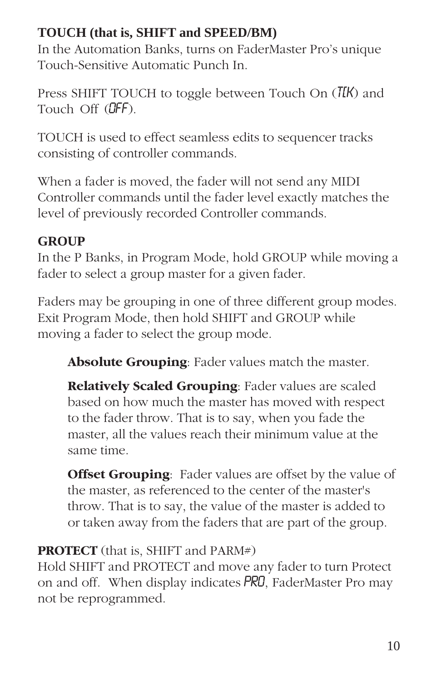#### **TOUCH (that is, SHIFT and SPEED/BM)**

In the Automation Banks, turns on FaderMaster Pro's unique Touch-Sensitive Automatic Punch In.

Press SHIFT TOUCH to toggle between Touch On  $(T_KK)$  and Touch Off (**OFF**).

TOUCH is used to effect seamless edits to sequencer tracks consisting of controller commands.

When a fader is moved, the fader will not send any MIDI Controller commands until the fader level exactly matches the level of previously recorded Controller commands.

## **GROUP**

In the P Banks, in Program Mode, hold GROUP while moving a fader to select a group master for a given fader.

Faders may be grouping in one of three different group modes. Exit Program Mode, then hold SHIFT and GROUP while moving a fader to select the group mode.

**Absolute Grouping**: Fader values match the master.

**Relatively Scaled Grouping**: Fader values are scaled based on how much the master has moved with respect to the fader throw. That is to say, when you fade the master, all the values reach their minimum value at the same time.

**Offset Grouping**: Fader values are offset by the value of the master, as referenced to the center of the master's throw. That is to say, the value of the master is added to or taken away from the faders that are part of the group.

## **PROTECT** (that is, SHIFT and PARM#)

Hold SHIFT and PROTECT and move any fader to turn Protect on and off. When display indicates PRO, FaderMaster Pro may not be reprogrammed.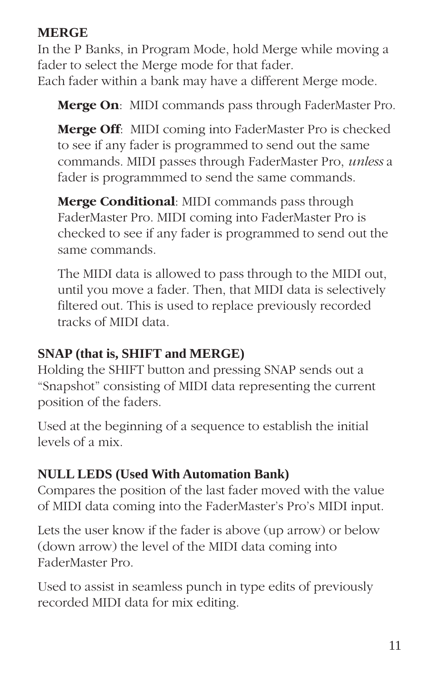#### **MERGE**

In the P Banks, in Program Mode, hold Merge while moving a fader to select the Merge mode for that fader. Each fader within a bank may have a different Merge mode.

**Merge On**: MIDI commands pass through FaderMaster Pro.

**Merge Off**: MIDI coming into FaderMaster Pro is checked to see if any fader is programmed to send out the same commands. MIDI passes through FaderMaster Pro, *unless* a fader is programmmed to send the same commands.

**Merge Conditional**: MIDI commands pass through FaderMaster Pro. MIDI coming into FaderMaster Pro is checked to see if any fader is programmed to send out the same commands.

The MIDI data is allowed to pass through to the MIDI out, until you move a fader. Then, that MIDI data is selectively filtered out. This is used to replace previously recorded tracks of MIDI data.

#### **SNAP (that is, SHIFT and MERGE)**

Holding the SHIFT button and pressing SNAP sends out a "Snapshot" consisting of MIDI data representing the current position of the faders.

Used at the beginning of a sequence to establish the initial levels of a mix.

#### **NULL LEDS (Used With Automation Bank)**

Compares the position of the last fader moved with the value of MIDI data coming into the FaderMaster's Pro's MIDI input.

Lets the user know if the fader is above (up arrow) or below (down arrow) the level of the MIDI data coming into FaderMaster Pro.

Used to assist in seamless punch in type edits of previously recorded MIDI data for mix editing.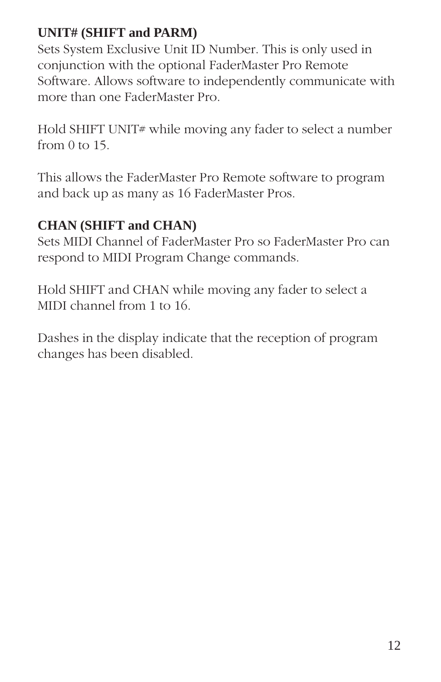### **UNIT# (SHIFT and PARM)**

Sets System Exclusive Unit ID Number. This is only used in conjunction with the optional FaderMaster Pro Remote Software. Allows software to independently communicate with more than one FaderMaster Pro.

Hold SHIFT UNIT# while moving any fader to select a number from 0 to 15.

This allows the FaderMaster Pro Remote software to program and back up as many as 16 FaderMaster Pros.

#### **CHAN (SHIFT and CHAN)**

Sets MIDI Channel of FaderMaster Pro so FaderMaster Pro can respond to MIDI Program Change commands.

Hold SHIFT and CHAN while moving any fader to select a MIDI channel from 1 to 16.

Dashes in the display indicate that the reception of program changes has been disabled.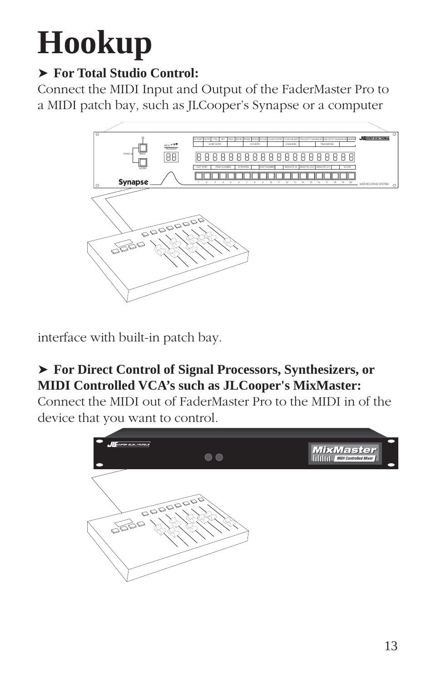# **Hookup**

# ➤ **For Total Studio Control:**

Connect the MIDI Input and Output of the FaderMaster Pro to a MIDI patch bay, such as JLCooper's Synapse or a computer



interface with built-in patch bay.

## ➤ **For Direct Control of Signal Processors, Synthesizers, or MIDI Controlled VCA's such as JLCooper's MixMaster:**

Connect the MIDI out of FaderMaster Pro to the MIDI in of the device that you want to control.

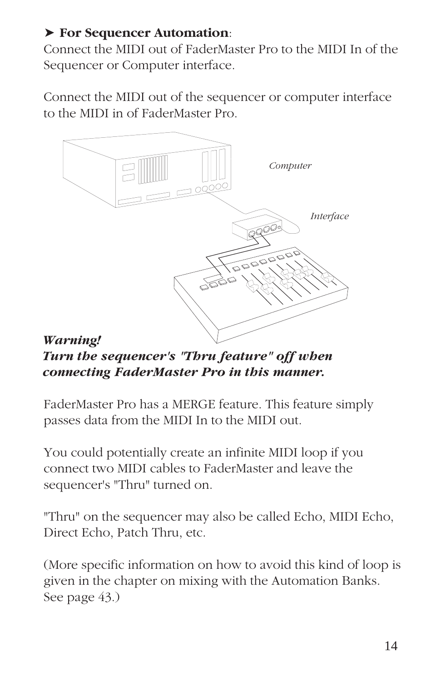#### ➤ **For Sequencer Automation**:

Connect the MIDI out of FaderMaster Pro to the MIDI In of the Sequencer or Computer interface.

Connect the MIDI out of the sequencer or computer interface to the MIDI in of FaderMaster Pro.



*Turn the sequencer's "Thru feature" off when connecting FaderMaster Pro in this manner.*

FaderMaster Pro has a MERGE feature. This feature simply passes data from the MIDI In to the MIDI out.

You could potentially create an infinite MIDI loop if you connect two MIDI cables to FaderMaster and leave the sequencer's "Thru" turned on.

"Thru" on the sequencer may also be called Echo, MIDI Echo, Direct Echo, Patch Thru, etc.

(More specific information on how to avoid this kind of loop is given in the chapter on mixing with the Automation Banks. See page 43.)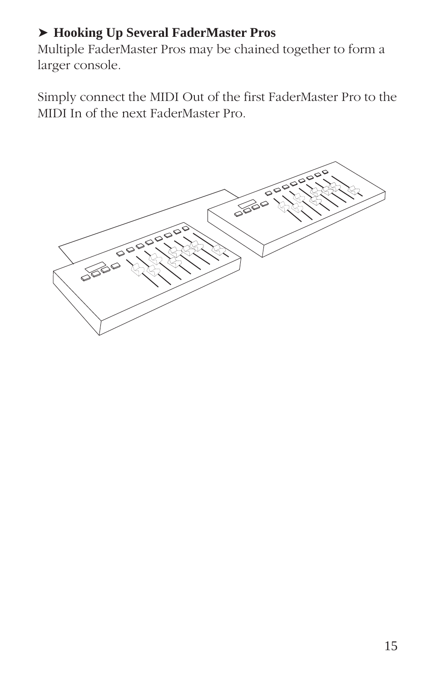#### ➤ **Hooking Up Several FaderMaster Pros**

Multiple FaderMaster Pros may be chained together to form a larger console.

Simply connect the MIDI Out of the first FaderMaster Pro to the MIDI In of the next FaderMaster Pro.

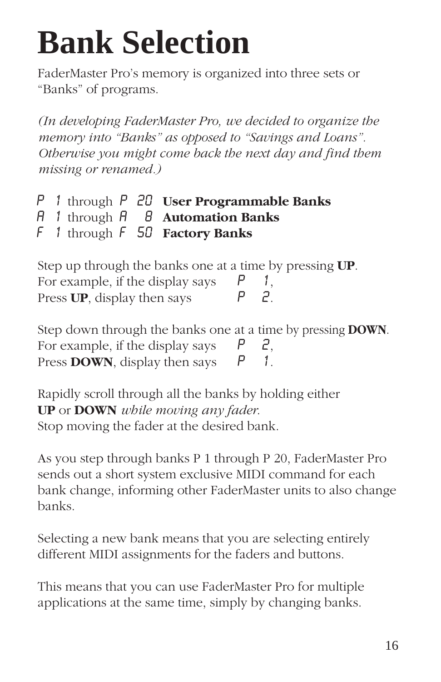# **Bank Selection**

FaderMaster Pro's memory is organized into three sets or "Banks" of programs.

*(In developing FaderMaster Pro, we decided to organize the memory into "Banks" as opposed to "Savings and Loans". Otherwise you might come back the next day and find them missing or renamed.)*

- P 1 through P 20 **User Programmable Banks**
- A 1 through A 8 **Automation Banks**
- F 1 through F 50 **Factory Banks**

| Step up through the banks one at a time by pressing UP. |              |  |
|---------------------------------------------------------|--------------|--|
| For example, if the display says                        | $\mathbb{P}$ |  |
| Press UP, display then says                             |              |  |

| Step down through the banks one at a time by pressing <b>DOWN</b> . |  |  |
|---------------------------------------------------------------------|--|--|
| For example, if the display says $P$                                |  |  |
| Press <b>DOWN</b> , display then says                               |  |  |

Rapidly scroll through all the banks by holding either **UP** or **DOWN** *while moving any fader*. Stop moving the fader at the desired bank.

As you step through banks P 1 through P 20, FaderMaster Pro sends out a short system exclusive MIDI command for each bank change, informing other FaderMaster units to also change banks.

Selecting a new bank means that you are selecting entirely different MIDI assignments for the faders and buttons.

This means that you can use FaderMaster Pro for multiple applications at the same time, simply by changing banks.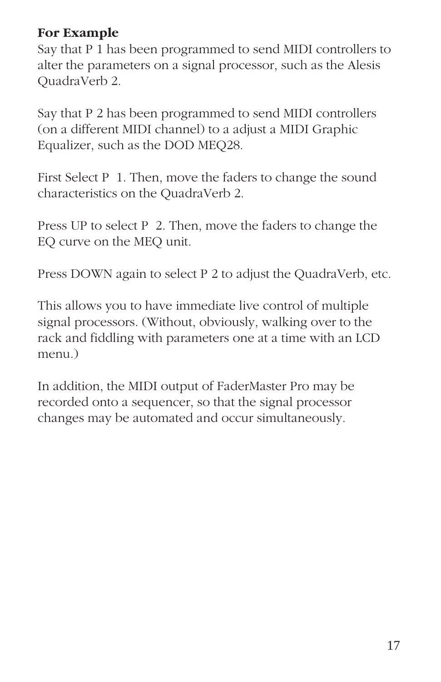#### **For Example**

Say that P 1 has been programmed to send MIDI controllers to alter the parameters on a signal processor, such as the Alesis QuadraVerb 2.

Say that P 2 has been programmed to send MIDI controllers (on a different MIDI channel) to a adjust a MIDI Graphic Equalizer, such as the DOD MEQ28.

First Select P 1. Then, move the faders to change the sound characteristics on the QuadraVerb 2.

Press UP to select P 2. Then, move the faders to change the EQ curve on the MEQ unit.

Press DOWN again to select P 2 to adjust the QuadraVerb, etc.

This allows you to have immediate live control of multiple signal processors. (Without, obviously, walking over to the rack and fiddling with parameters one at a time with an LCD menu.)

In addition, the MIDI output of FaderMaster Pro may be recorded onto a sequencer, so that the signal processor changes may be automated and occur simultaneously.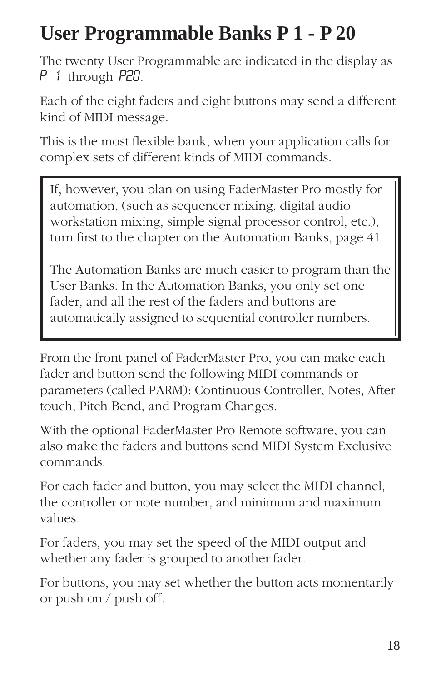# **User Programmable Banks P 1 - P 20**

The twenty User Programmable are indicated in the display as P 1 through P20.

Each of the eight faders and eight buttons may send a different kind of MIDI message.

This is the most flexible bank, when your application calls for complex sets of different kinds of MIDI commands.

If, however, you plan on using FaderMaster Pro mostly for automation, (such as sequencer mixing, digital audio workstation mixing, simple signal processor control, etc.), turn first to the chapter on the Automation Banks, page 41.

The Automation Banks are much easier to program than the User Banks. In the Automation Banks, you only set one fader, and all the rest of the faders and buttons are automatically assigned to sequential controller numbers.

From the front panel of FaderMaster Pro, you can make each fader and button send the following MIDI commands or parameters (called PARM): Continuous Controller, Notes, After touch, Pitch Bend, and Program Changes.

With the optional FaderMaster Pro Remote software, you can also make the faders and buttons send MIDI System Exclusive commands.

For each fader and button, you may select the MIDI channel, the controller or note number, and minimum and maximum values.

For faders, you may set the speed of the MIDI output and whether any fader is grouped to another fader.

For buttons, you may set whether the button acts momentarily or push on / push off.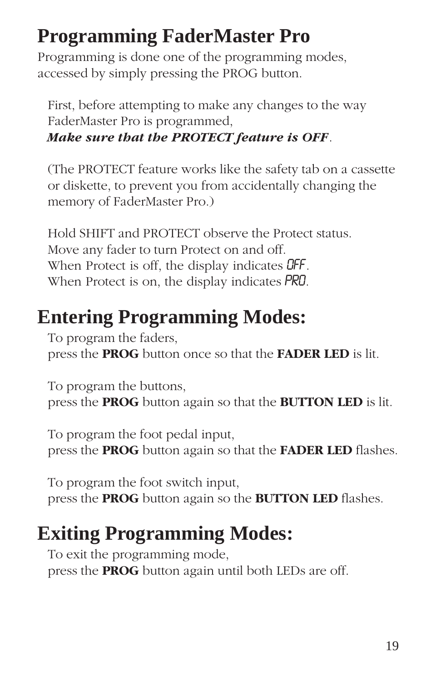# **Programming FaderMaster Pro**

Programming is done one of the programming modes, accessed by simply pressing the PROG button.

First, before attempting to make any changes to the way FaderMaster Pro is programmed, *Make sure that the PROTECT feature is OFF*.

(The PROTECT feature works like the safety tab on a cassette or diskette, to prevent you from accidentally changing the memory of FaderMaster Pro.)

Hold SHIFT and PROTECT observe the Protect status. Move any fader to turn Protect on and off. When Protect is off, the display indicates **OFF**. When Protect is on, the display indicates **PRO**.

# **Entering Programming Modes:**

To program the faders, press the **PROG** button once so that the **FADER LED** is lit.

To program the buttons, press the **PROG** button again so that the **BUTTON LED** is lit.

To program the foot pedal input, press the **PROG** button again so that the **FADER LED** flashes.

To program the foot switch input, press the **PROG** button again so the **BUTTON LED** flashes.

# **Exiting Programming Modes:**

To exit the programming mode, press the **PROG** button again until both LEDs are off.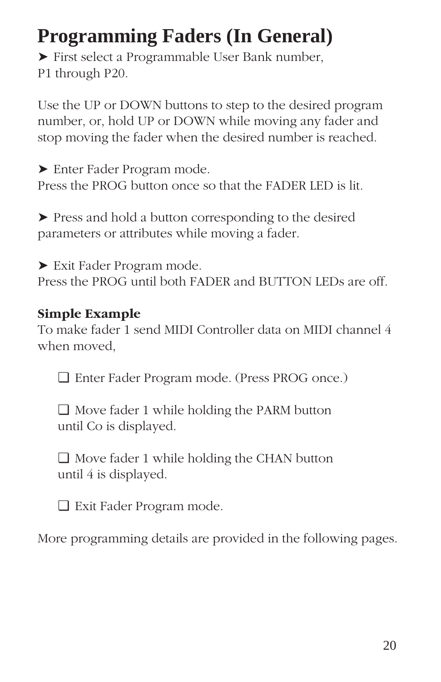# **Programming Faders (In General)**

➤ First select a Programmable User Bank number, P1 through P20.

Use the UP or DOWN buttons to step to the desired program number, or, hold UP or DOWN while moving any fader and stop moving the fader when the desired number is reached.

➤ Enter Fader Program mode. Press the PROG button once so that the FADER LED is lit.

➤ Press and hold a button corresponding to the desired parameters or attributes while moving a fader.

➤ Exit Fader Program mode. Press the PROG until both FADER and BUTTON LEDs are off.

#### **Simple Example**

To make fader 1 send MIDI Controller data on MIDI channel 4 when moved,

❏ Enter Fader Program mode. (Press PROG once.)

❏ Move fader 1 while holding the PARM button until Co is displayed.

❏ Move fader 1 while holding the CHAN button until 4 is displayed.

❏ Exit Fader Program mode.

More programming details are provided in the following pages.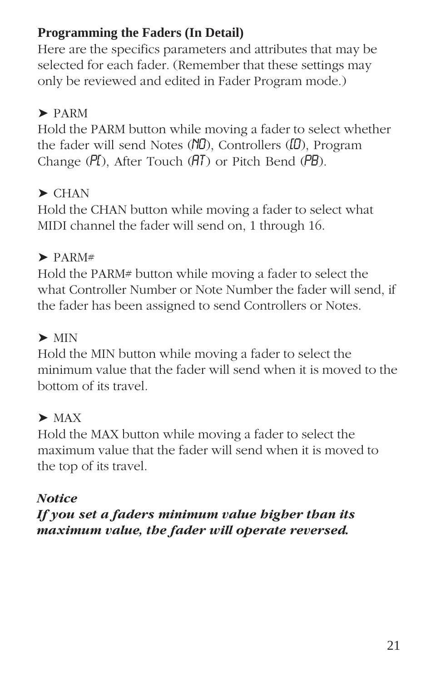### **Programming the Faders (In Detail)**

Here are the specifics parameters and attributes that may be selected for each fader. (Remember that these settings may only be reviewed and edited in Fader Program mode.)

### ➤ PARM

Hold the PARM button while moving a fader to select whether the fader will send Notes  $(ND)$ , Controllers  $(D)$ , Program Change  $(PI)$ , After Touch  $(HT)$  or Pitch Bend  $(PB)$ .

## $\blacktriangleright$  CHAN

Hold the CHAN button while moving a fader to select what MIDI channel the fader will send on, 1 through 16.

#### $\blacktriangleright$  PARM#

Hold the PARM# button while moving a fader to select the what Controller Number or Note Number the fader will send, if the fader has been assigned to send Controllers or Notes.

# $\blacktriangleright$  MIN

Hold the MIN button while moving a fader to select the minimum value that the fader will send when it is moved to the bottom of its travel.

## $\blacktriangleright$  MAX

Hold the MAX button while moving a fader to select the maximum value that the fader will send when it is moved to the top of its travel.

#### *Notice*

*If you set a faders minimum value higher than its maximum value, the fader will operate reversed.*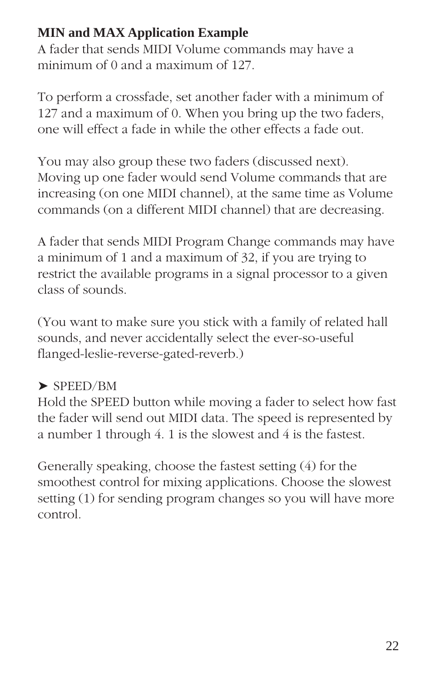#### **MIN and MAX Application Example**

A fader that sends MIDI Volume commands may have a minimum of 0 and a maximum of 127.

To perform a crossfade, set another fader with a minimum of 127 and a maximum of 0. When you bring up the two faders, one will effect a fade in while the other effects a fade out.

You may also group these two faders (discussed next). Moving up one fader would send Volume commands that are increasing (on one MIDI channel), at the same time as Volume commands (on a different MIDI channel) that are decreasing.

A fader that sends MIDI Program Change commands may have a minimum of 1 and a maximum of 32, if you are trying to restrict the available programs in a signal processor to a given class of sounds.

(You want to make sure you stick with a family of related hall sounds, and never accidentally select the ever-so-useful flanged-leslie-reverse-gated-reverb.)

#### ➤ SPEED/BM

Hold the SPEED button while moving a fader to select how fast the fader will send out MIDI data. The speed is represented by a number 1 through 4. 1 is the slowest and 4 is the fastest.

Generally speaking, choose the fastest setting (4) for the smoothest control for mixing applications. Choose the slowest setting (1) for sending program changes so you will have more control.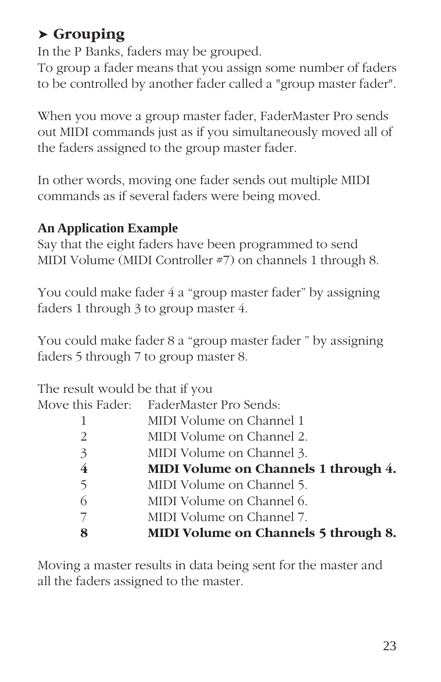# ➤ **Grouping**

In the P Banks, faders may be grouped.

To group a fader means that you assign some number of faders to be controlled by another fader called a "group master fader".

When you move a group master fader, FaderMaster Pro sends out MIDI commands just as if you simultaneously moved all of the faders assigned to the group master fader.

In other words, moving one fader sends out multiple MIDI commands as if several faders were being moved.

#### **An Application Example**

Say that the eight faders have been programmed to send MIDI Volume (MIDI Controller #7) on channels 1 through 8.

You could make fader 4 a "group master fader" by assigning faders 1 through 3 to group master 4.

You could make fader 8 a "group master fader " by assigning faders 5 through 7 to group master 8.

| The result would be that if you |                                         |
|---------------------------------|-----------------------------------------|
|                                 | Move this Fader: FaderMaster Pro Sends: |
|                                 | MIDI Volume on Channel 1                |
| 2                               | MIDI Volume on Channel 2.               |
| 3                               | MIDI Volume on Channel 3.               |
| 4                               | MIDI Volume on Channels 1 through 4.    |
| 5                               | MIDI Volume on Channel 5.               |
| 6                               | MIDI Volume on Channel 6.               |
|                                 | MIDI Volume on Channel 7.               |
| 8                               | MIDI Volume on Channels 5 through 8.    |
|                                 |                                         |

Moving a master results in data being sent for the master and all the faders assigned to the master.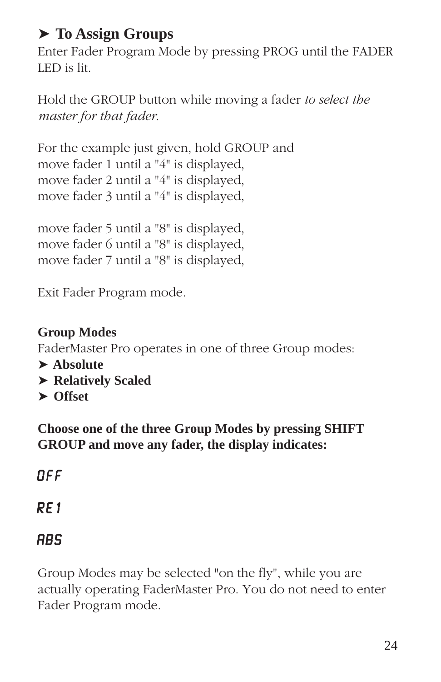# ➤ **To Assign Groups**

Enter Fader Program Mode by pressing PROG until the FADER LED is lit.

Hold the GROUP button while moving a fader *to select the master for that fader*.

For the example just given, hold GROUP and move fader 1 until a "4" is displayed, move fader 2 until a "4" is displayed, move fader 3 until a "4" is displayed,

move fader 5 until a "8" is displayed, move fader 6 until a "8" is displayed, move fader 7 until a "8" is displayed,

Exit Fader Program mode.

**Group Modes** FaderMaster Pro operates in one of three Group modes: ➤ **Absolute** ➤ **Relatively Scaled** ➤ **Offset**

**Choose one of the three Group Modes by pressing SHIFT GROUP and move any fader, the display indicates:**

# 0ff

RE<sub>1</sub>

# **ABS**

Group Modes may be selected "on the fly", while you are actually operating FaderMaster Pro. You do not need to enter Fader Program mode.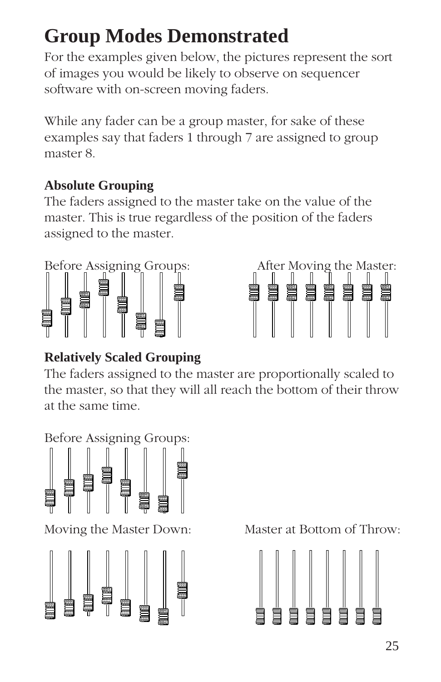# **Group Modes Demonstrated**

For the examples given below, the pictures represent the sort of images you would be likely to observe on sequencer software with on-screen moving faders.

While any fader can be a group master, for sake of these examples say that faders 1 through 7 are assigned to group master 8.

#### **Absolute Grouping**

The faders assigned to the master take on the value of the master. This is true regardless of the position of the faders assigned to the master.





## **Relatively Scaled Grouping**

The faders assigned to the master are proportionally scaled to the master, so that they will all reach the bottom of their throw at the same time.

Before Assigning Groups:



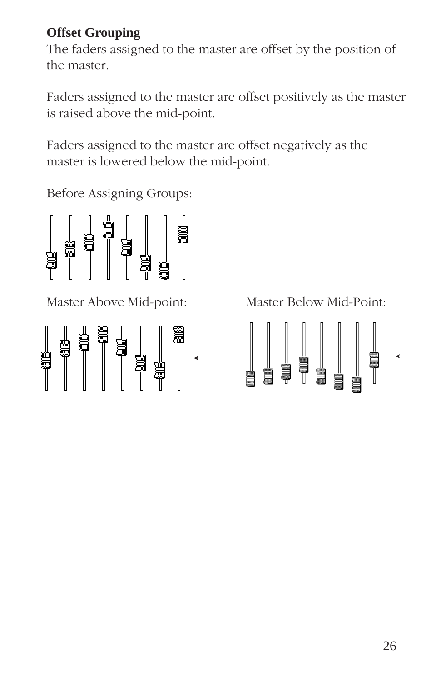#### **Offset Grouping**

The faders assigned to the master are offset by the position of the master.

Faders assigned to the master are offset positively as the master is raised above the mid-point.

Faders assigned to the master are offset negatively as the master is lowered below the mid-point.

Before Assigning Groups:



Master Above Mid-point: Master Below Mid-Point:



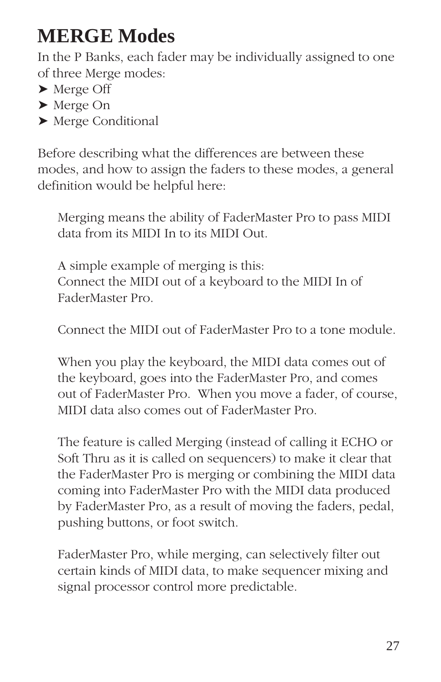# **MERGE Modes**

In the P Banks, each fader may be individually assigned to one of three Merge modes:

- ➤ Merge Off
- ➤ Merge On
- ➤ Merge Conditional

Before describing what the differences are between these modes, and how to assign the faders to these modes, a general definition would be helpful here:

Merging means the ability of FaderMaster Pro to pass MIDI data from its MIDI In to its MIDI Out.

A simple example of merging is this: Connect the MIDI out of a keyboard to the MIDI In of FaderMaster Pro.

Connect the MIDI out of FaderMaster Pro to a tone module.

When you play the keyboard, the MIDI data comes out of the keyboard, goes into the FaderMaster Pro, and comes out of FaderMaster Pro. When you move a fader, of course, MIDI data also comes out of FaderMaster Pro.

The feature is called Merging (instead of calling it ECHO or Soft Thru as it is called on sequencers) to make it clear that the FaderMaster Pro is merging or combining the MIDI data coming into FaderMaster Pro with the MIDI data produced by FaderMaster Pro, as a result of moving the faders, pedal, pushing buttons, or foot switch.

FaderMaster Pro, while merging, can selectively filter out certain kinds of MIDI data, to make sequencer mixing and signal processor control more predictable.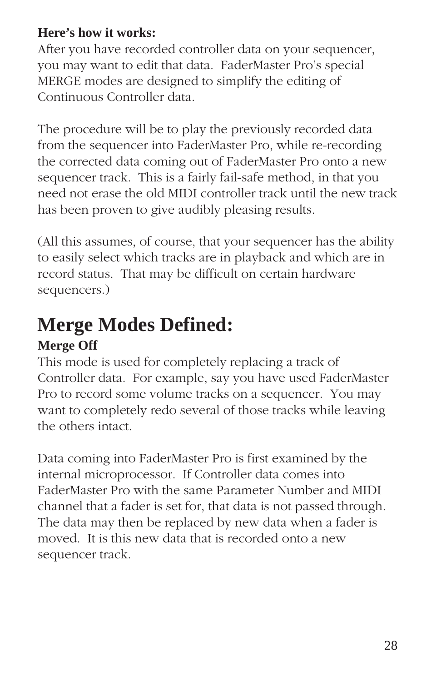#### **Here's how it works:**

After you have recorded controller data on your sequencer, you may want to edit that data. FaderMaster Pro's special MERGE modes are designed to simplify the editing of Continuous Controller data.

The procedure will be to play the previously recorded data from the sequencer into FaderMaster Pro, while re-recording the corrected data coming out of FaderMaster Pro onto a new sequencer track. This is a fairly fail-safe method, in that you need not erase the old MIDI controller track until the new track has been proven to give audibly pleasing results.

(All this assumes, of course, that your sequencer has the ability to easily select which tracks are in playback and which are in record status. That may be difficult on certain hardware sequencers.)

# **Merge Modes Defined:**

## **Merge Off**

This mode is used for completely replacing a track of Controller data. For example, say you have used FaderMaster Pro to record some volume tracks on a sequencer. You may want to completely redo several of those tracks while leaving the others intact.

Data coming into FaderMaster Pro is first examined by the internal microprocessor. If Controller data comes into FaderMaster Pro with the same Parameter Number and MIDI channel that a fader is set for, that data is not passed through. The data may then be replaced by new data when a fader is moved. It is this new data that is recorded onto a new sequencer track.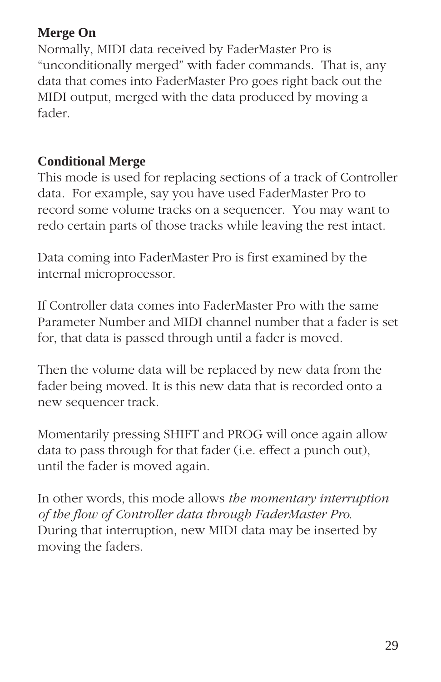#### **Merge On**

Normally, MIDI data received by FaderMaster Pro is "unconditionally merged" with fader commands. That is, any data that comes into FaderMaster Pro goes right back out the MIDI output, merged with the data produced by moving a fader.

#### **Conditional Merge**

This mode is used for replacing sections of a track of Controller data. For example, say you have used FaderMaster Pro to record some volume tracks on a sequencer. You may want to redo certain parts of those tracks while leaving the rest intact.

Data coming into FaderMaster Pro is first examined by the internal microprocessor.

If Controller data comes into FaderMaster Pro with the same Parameter Number and MIDI channel number that a fader is set for, that data is passed through until a fader is moved.

Then the volume data will be replaced by new data from the fader being moved. It is this new data that is recorded onto a new sequencer track.

Momentarily pressing SHIFT and PROG will once again allow data to pass through for that fader (i.e. effect a punch out), until the fader is moved again.

In other words, this mode allows *the momentary interruption of the flow of Controller data through FaderMaster Pro*. During that interruption, new MIDI data may be inserted by moving the faders.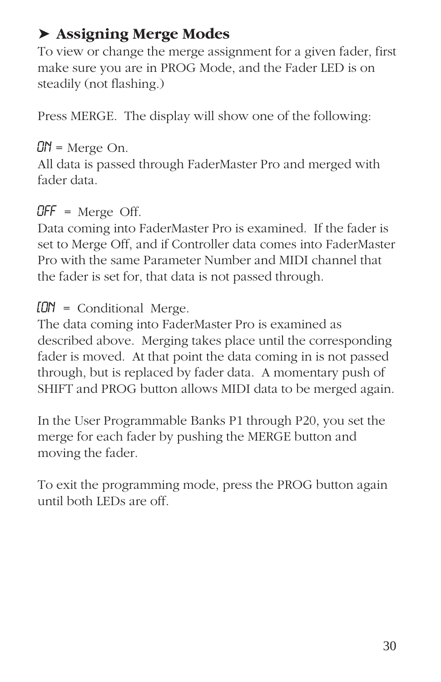# ➤ **Assigning Merge Modes**

To view or change the merge assignment for a given fader, first make sure you are in PROG Mode, and the Fader LED is on steadily (not flashing.)

Press MERGE. The display will show one of the following:

#### $\mathbb{C}N$  = Merge On.

All data is passed through FaderMaster Pro and merged with fader data.

#### $OFF$  = Merge Off.

Data coming into FaderMaster Pro is examined. If the fader is set to Merge Off, and if Controller data comes into FaderMaster Pro with the same Parameter Number and MIDI channel that the fader is set for, that data is not passed through.

 $[**ON**] = Conditional Merge.$ 

The data coming into FaderMaster Pro is examined as described above. Merging takes place until the corresponding fader is moved. At that point the data coming in is not passed through, but is replaced by fader data. A momentary push of SHIFT and PROG button allows MIDI data to be merged again.

In the User Programmable Banks P1 through P20, you set the merge for each fader by pushing the MERGE button and moving the fader.

To exit the programming mode, press the PROG button again until both LEDs are off.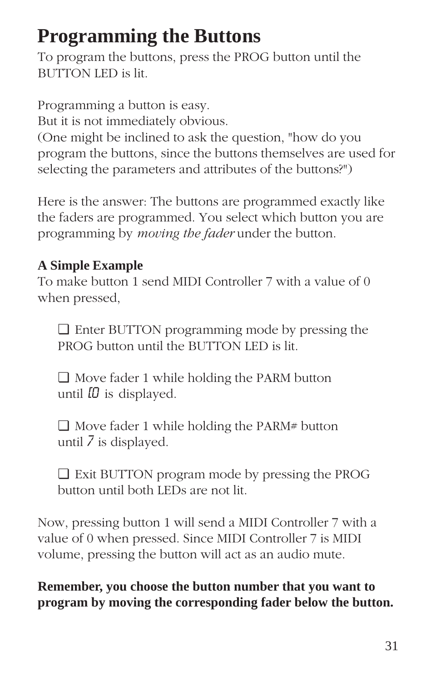# **Programming the Buttons**

To program the buttons, press the PROG button until the BUTTON LED is lit.

Programming a button is easy. But it is not immediately obvious. (One might be inclined to ask the question, "how do you program the buttons, since the buttons themselves are used for selecting the parameters and attributes of the buttons?")

Here is the answer: The buttons are programmed exactly like the faders are programmed. You select which button you are programming by *moving the fader* under the button.

#### **A Simple Example**

To make button 1 send MIDI Controller 7 with a value of 0 when pressed,

❏ Enter BUTTON programming mode by pressing the PROG button until the BUTTON LED is lit.

❏ Move fader 1 while holding the PARM button until  $\Omega$  is displayed.

 $\Box$  Move fader 1 while holding the PARM# button until 7 is displayed.

❏ Exit BUTTON program mode by pressing the PROG button until both LEDs are not lit.

Now, pressing button 1 will send a MIDI Controller 7 with a value of 0 when pressed. Since MIDI Controller 7 is MIDI volume, pressing the button will act as an audio mute.

**Remember, you choose the button number that you want to program by moving the corresponding fader below the button.**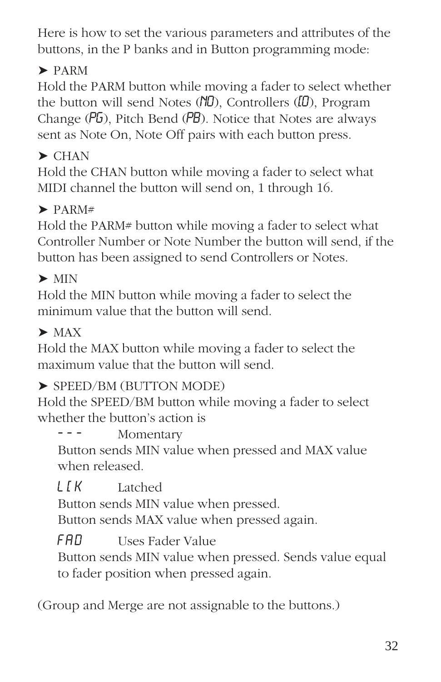Here is how to set the various parameters and attributes of the buttons, in the P banks and in Button programming mode:

# ➤ PARM

Hold the PARM button while moving a fader to select whether the button will send Notes  $(ND)$ , Controllers  $(ID)$ , Program Change (PG), Pitch Bend (PB). Notice that Notes are always sent as Note On, Note Off pairs with each button press.

# $\blacktriangleright$  CHAN

Hold the CHAN button while moving a fader to select what MIDI channel the button will send on, 1 through 16.

# $\blacktriangleright$  PARM#

Hold the PARM# button while moving a fader to select what Controller Number or Note Number the button will send, if the button has been assigned to send Controllers or Notes.

# $\blacktriangleright$  MIN

Hold the MIN button while moving a fader to select the minimum value that the button will send.

# $\blacktriangleright$  MAX

Hold the MAX button while moving a fader to select the maximum value that the button will send.

## ➤ SPEED/BM (BUTTON MODE)

Hold the SPEED/BM button while moving a fader to select whether the button's action is

Momentary

Button sends MIN value when pressed and MAX value when released.

L[K Latched

Button sends MIN value when pressed. Button sends MAX value when pressed again.

**FAD** Uses Fader Value

Button sends MIN value when pressed. Sends value equal to fader position when pressed again.

(Group and Merge are not assignable to the buttons.)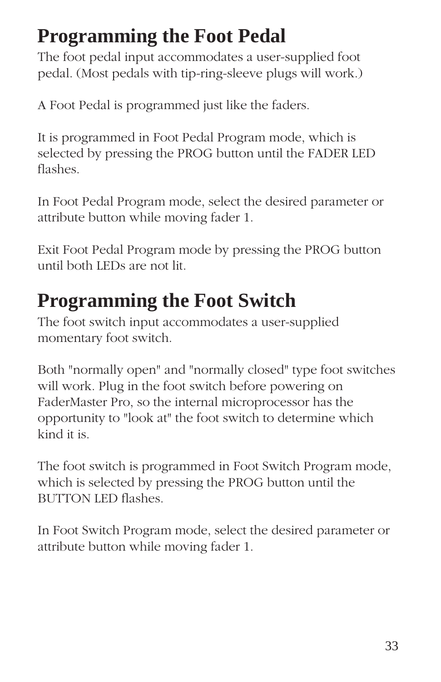# **Programming the Foot Pedal**

The foot pedal input accommodates a user-supplied foot pedal. (Most pedals with tip-ring-sleeve plugs will work.)

A Foot Pedal is programmed just like the faders.

It is programmed in Foot Pedal Program mode, which is selected by pressing the PROG button until the FADER LED flashes.

In Foot Pedal Program mode, select the desired parameter or attribute button while moving fader 1.

Exit Foot Pedal Program mode by pressing the PROG button until both LEDs are not lit.

# **Programming the Foot Switch**

The foot switch input accommodates a user-supplied momentary foot switch.

Both "normally open" and "normally closed" type foot switches will work. Plug in the foot switch before powering on FaderMaster Pro, so the internal microprocessor has the opportunity to "look at" the foot switch to determine which kind it is.

The foot switch is programmed in Foot Switch Program mode, which is selected by pressing the PROG button until the BUTTON LED flashes.

In Foot Switch Program mode, select the desired parameter or attribute button while moving fader 1.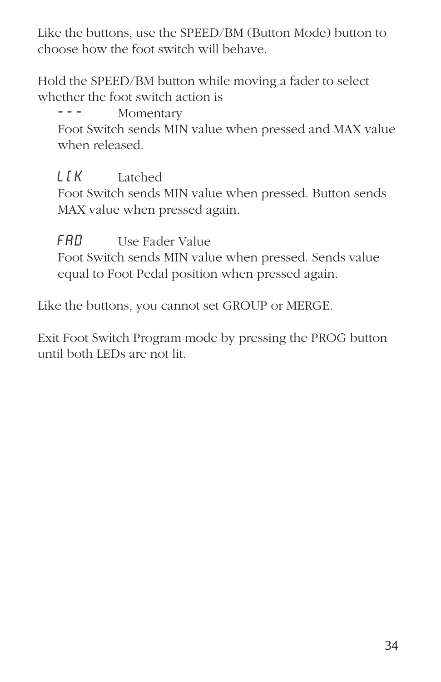Like the buttons, use the SPEED/BM (Button Mode) button to choose how the foot switch will behave.

Hold the SPEED/BM button while moving a fader to select whether the foot switch action is

Momentary

Foot Switch sends MIN value when pressed and MAX value when released.

#### L[K Latched

Foot Switch sends MIN value when pressed. Button sends MAX value when pressed again.

FAD Use Fader Value

Foot Switch sends MIN value when pressed. Sends value equal to Foot Pedal position when pressed again.

Like the buttons, you cannot set GROUP or MERGE.

Exit Foot Switch Program mode by pressing the PROG button until both LEDs are not lit.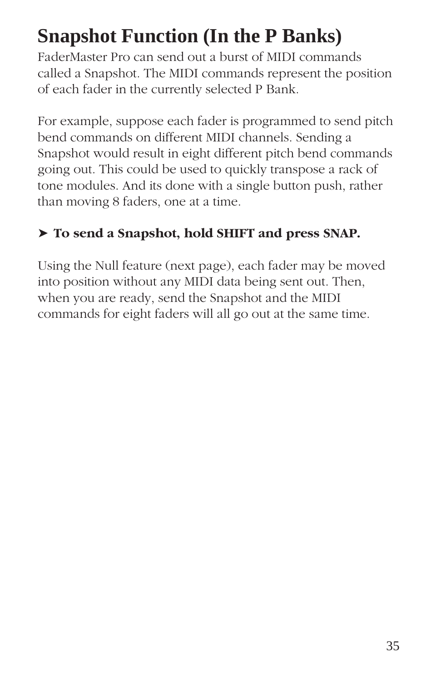# **Snapshot Function (In the P Banks)**

FaderMaster Pro can send out a burst of MIDI commands called a Snapshot. The MIDI commands represent the position of each fader in the currently selected P Bank.

For example, suppose each fader is programmed to send pitch bend commands on different MIDI channels. Sending a Snapshot would result in eight different pitch bend commands going out. This could be used to quickly transpose a rack of tone modules. And its done with a single button push, rather than moving 8 faders, one at a time.

#### ➤ **To send a Snapshot, hold SHIFT and press SNAP.**

Using the Null feature (next page), each fader may be moved into position without any MIDI data being sent out. Then, when you are ready, send the Snapshot and the MIDI commands for eight faders will all go out at the same time.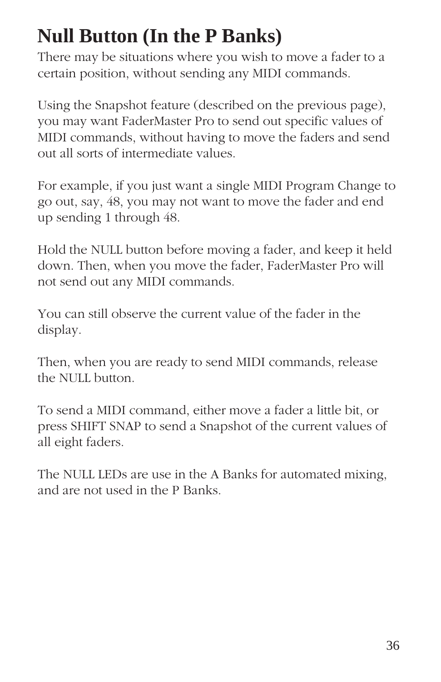# **Null Button (In the P Banks)**

There may be situations where you wish to move a fader to a certain position, without sending any MIDI commands.

Using the Snapshot feature (described on the previous page), you may want FaderMaster Pro to send out specific values of MIDI commands, without having to move the faders and send out all sorts of intermediate values.

For example, if you just want a single MIDI Program Change to go out, say, 48, you may not want to move the fader and end up sending 1 through 48.

Hold the NULL button before moving a fader, and keep it held down. Then, when you move the fader, FaderMaster Pro will not send out any MIDI commands.

You can still observe the current value of the fader in the display.

Then, when you are ready to send MIDI commands, release the NULL button.

To send a MIDI command, either move a fader a little bit, or press SHIFT SNAP to send a Snapshot of the current values of all eight faders.

The NULL LEDs are use in the A Banks for automated mixing, and are not used in the P Banks.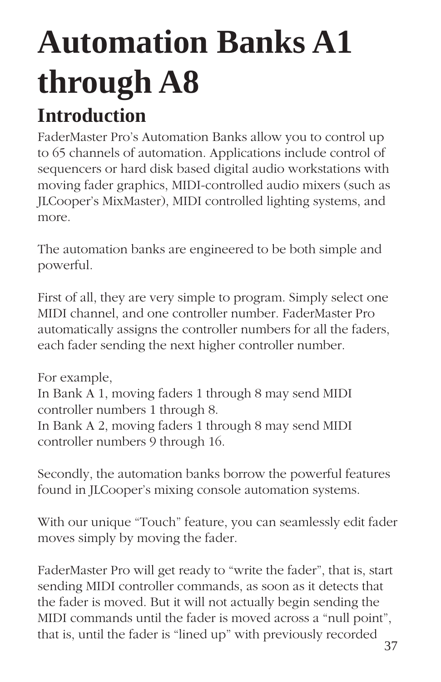# **Automation Banks A1 through A8 Introduction**

FaderMaster Pro's Automation Banks allow you to control up to 65 channels of automation. Applications include control of sequencers or hard disk based digital audio workstations with moving fader graphics, MIDI-controlled audio mixers (such as JLCooper's MixMaster), MIDI controlled lighting systems, and more.

The automation banks are engineered to be both simple and powerful.

First of all, they are very simple to program. Simply select one MIDI channel, and one controller number. FaderMaster Pro automatically assigns the controller numbers for all the faders, each fader sending the next higher controller number.

For example, In Bank A 1, moving faders 1 through 8 may send MIDI controller numbers 1 through 8. In Bank A 2, moving faders 1 through 8 may send MIDI controller numbers 9 through 16.

Secondly, the automation banks borrow the powerful features found in JLCooper's mixing console automation systems.

With our unique "Touch" feature, you can seamlessly edit fader moves simply by moving the fader.

FaderMaster Pro will get ready to "write the fader", that is, start sending MIDI controller commands, as soon as it detects that the fader is moved. But it will not actually begin sending the MIDI commands until the fader is moved across a "null point", that is, until the fader is "lined up" with previously recorded  $\frac{37}{}$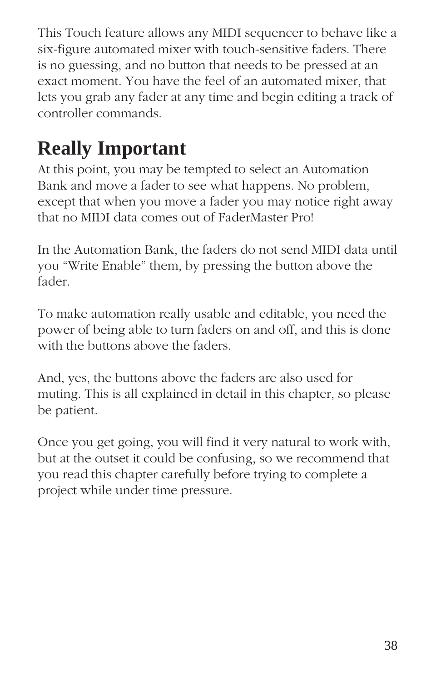This Touch feature allows any MIDI sequencer to behave like a six-figure automated mixer with touch-sensitive faders. There is no guessing, and no button that needs to be pressed at an exact moment. You have the feel of an automated mixer, that lets you grab any fader at any time and begin editing a track of controller commands.

# **Really Important**

At this point, you may be tempted to select an Automation Bank and move a fader to see what happens. No problem, except that when you move a fader you may notice right away that no MIDI data comes out of FaderMaster Pro!

In the Automation Bank, the faders do not send MIDI data until you "Write Enable" them, by pressing the button above the fader.

To make automation really usable and editable, you need the power of being able to turn faders on and off, and this is done with the buttons above the faders.

And, yes, the buttons above the faders are also used for muting. This is all explained in detail in this chapter, so please be patient.

Once you get going, you will find it very natural to work with, but at the outset it could be confusing, so we recommend that you read this chapter carefully before trying to complete a project while under time pressure.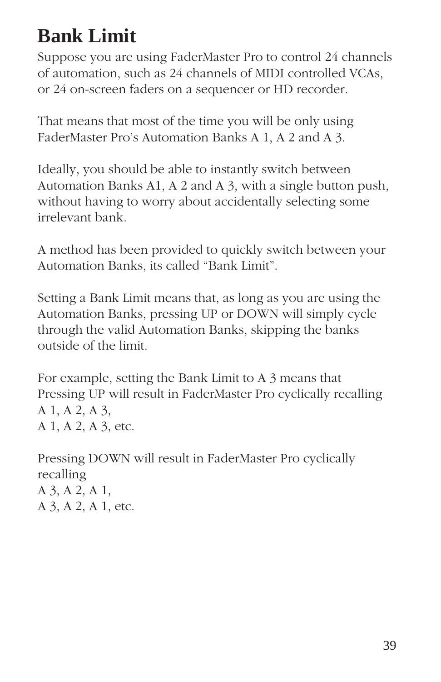# **Bank Limit**

Suppose you are using FaderMaster Pro to control 24 channels of automation, such as 24 channels of MIDI controlled VCAs, or 24 on-screen faders on a sequencer or HD recorder.

That means that most of the time you will be only using FaderMaster Pro's Automation Banks A 1, A 2 and A 3.

Ideally, you should be able to instantly switch between Automation Banks A1, A 2 and A 3, with a single button push, without having to worry about accidentally selecting some irrelevant bank.

A method has been provided to quickly switch between your Automation Banks, its called "Bank Limit".

Setting a Bank Limit means that, as long as you are using the Automation Banks, pressing UP or DOWN will simply cycle through the valid Automation Banks, skipping the banks outside of the limit.

For example, setting the Bank Limit to A 3 means that Pressing UP will result in FaderMaster Pro cyclically recalling A 1, A 2, A 3, A 1, A 2, A 3, etc.

Pressing DOWN will result in FaderMaster Pro cyclically recalling A 3, A 2, A 1, A 3, A 2, A 1, etc.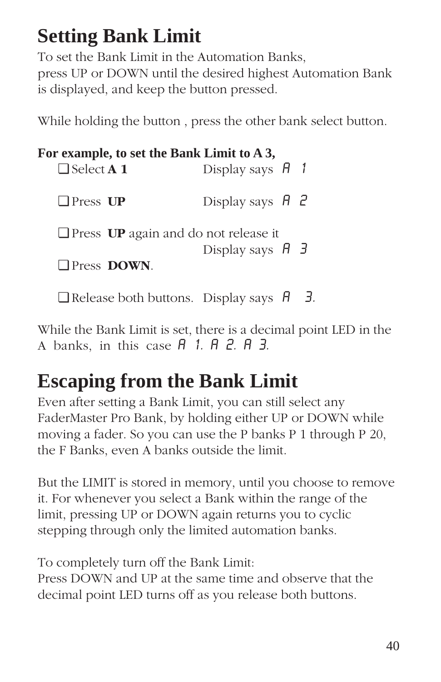# **Setting Bank Limit**

To set the Bank Limit in the Automation Banks, press UP or DOWN until the desired highest Automation Bank is displayed, and keep the button pressed.

While holding the button , press the other bank select button.

|                          |                            | For example, to set the Bank Limit to A 3,                                  |  |
|--------------------------|----------------------------|-----------------------------------------------------------------------------|--|
| $\Box$ Select <b>A</b> 1 |                            | Display says $\overline{H}$ 1                                               |  |
| $\Box$ Press UP          |                            | Display says $H_2$                                                          |  |
|                          | $\Box$ Press <b>DOWN</b> . | $\Box$ Press UP again and do not release it<br>Display says $H \rightarrow$ |  |

❏ Release both buttons. Display says A 3.

While the Bank Limit is set, there is a decimal point LED in the A banks, in this case  $A$  1.  $A$   $B$ .  $B$   $B$ .

# **Escaping from the Bank Limit**

Even after setting a Bank Limit, you can still select any FaderMaster Pro Bank, by holding either UP or DOWN while moving a fader. So you can use the P banks P 1 through P 20, the F Banks, even A banks outside the limit.

But the LIMIT is stored in memory, until you choose to remove it. For whenever you select a Bank within the range of the limit, pressing UP or DOWN again returns you to cyclic stepping through only the limited automation banks.

To completely turn off the Bank Limit: Press DOWN and UP at the same time and observe that the decimal point LED turns off as you release both buttons.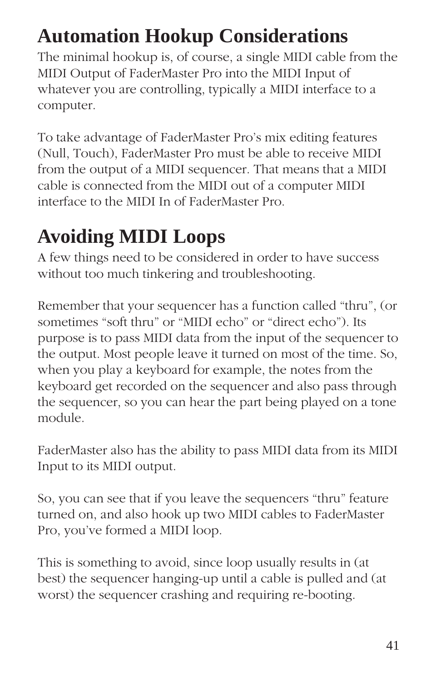# **Automation Hookup Considerations**

The minimal hookup is, of course, a single MIDI cable from the MIDI Output of FaderMaster Pro into the MIDI Input of whatever you are controlling, typically a MIDI interface to a computer.

To take advantage of FaderMaster Pro's mix editing features (Null, Touch), FaderMaster Pro must be able to receive MIDI from the output of a MIDI sequencer. That means that a MIDI cable is connected from the MIDI out of a computer MIDI interface to the MIDI In of FaderMaster Pro.

# **Avoiding MIDI Loops**

A few things need to be considered in order to have success without too much tinkering and troubleshooting.

Remember that your sequencer has a function called "thru", (or sometimes "soft thru" or "MIDI echo" or "direct echo"). Its purpose is to pass MIDI data from the input of the sequencer to the output. Most people leave it turned on most of the time. So, when you play a keyboard for example, the notes from the keyboard get recorded on the sequencer and also pass through the sequencer, so you can hear the part being played on a tone module.

FaderMaster also has the ability to pass MIDI data from its MIDI Input to its MIDI output.

So, you can see that if you leave the sequencers "thru" feature turned on, and also hook up two MIDI cables to FaderMaster Pro, you've formed a MIDI loop.

This is something to avoid, since loop usually results in (at best) the sequencer hanging-up until a cable is pulled and (at worst) the sequencer crashing and requiring re-booting.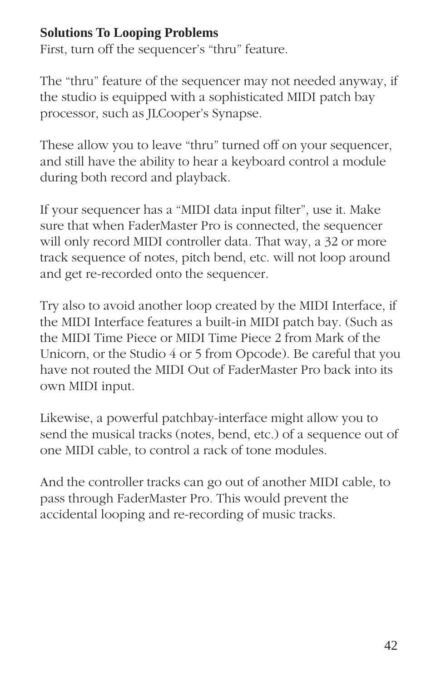## **Solutions To Looping Problems**

First, turn off the sequencer's "thru" feature.

The "thru" feature of the sequencer may not needed anyway, if the studio is equipped with a sophisticated MIDI patch bay processor, such as JLCooper's Synapse.

These allow you to leave "thru" turned off on your sequencer, and still have the ability to hear a keyboard control a module during both record and playback.

If your sequencer has a "MIDI data input filter", use it. Make sure that when FaderMaster Pro is connected, the sequencer will only record MIDI controller data. That way, a 32 or more track sequence of notes, pitch bend, etc. will not loop around and get re-recorded onto the sequencer.

Try also to avoid another loop created by the MIDI Interface, if the MIDI Interface features a built-in MIDI patch bay. (Such as the MIDI Time Piece or MIDI Time Piece 2 from Mark of the Unicorn, or the Studio 4 or 5 from Opcode). Be careful that you have not routed the MIDI Out of FaderMaster Pro back into its own MIDI input.

Likewise, a powerful patchbay-interface might allow you to send the musical tracks (notes, bend, etc.) of a sequence out of one MIDI cable, to control a rack of tone modules.

And the controller tracks can go out of another MIDI cable, to pass through FaderMaster Pro. This would prevent the accidental looping and re-recording of music tracks.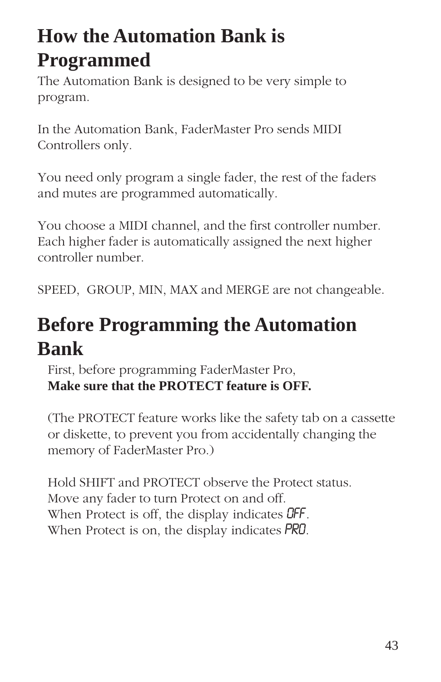# **How the Automation Bank is Programmed**

The Automation Bank is designed to be very simple to program.

In the Automation Bank, FaderMaster Pro sends MIDI Controllers only.

You need only program a single fader, the rest of the faders and mutes are programmed automatically.

You choose a MIDI channel, and the first controller number. Each higher fader is automatically assigned the next higher controller number.

SPEED, GROUP, MIN, MAX and MERGE are not changeable.

# **Before Programming the Automation Bank**

First, before programming FaderMaster Pro, **Make sure that the PROTECT feature is OFF.**

(The PROTECT feature works like the safety tab on a cassette or diskette, to prevent you from accidentally changing the memory of FaderMaster Pro.)

Hold SHIFT and PROTECT observe the Protect status. Move any fader to turn Protect on and off. When Protect is off, the display indicates **OFF**. When Protect is on, the display indicates PRO.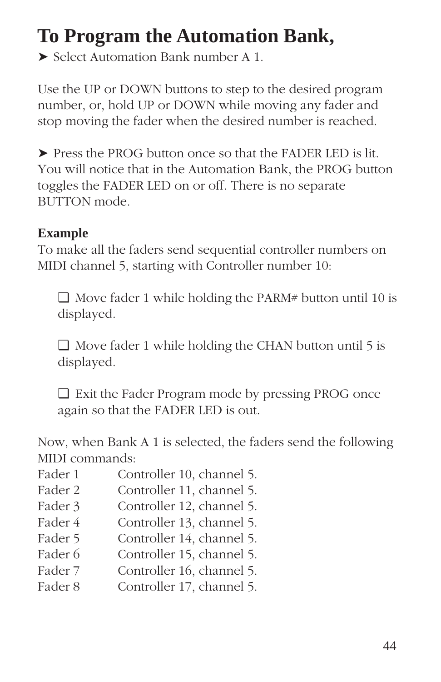# **To Program the Automation Bank,**

➤ Select Automation Bank number A 1.

Use the UP or DOWN buttons to step to the desired program number, or, hold UP or DOWN while moving any fader and stop moving the fader when the desired number is reached.

➤ Press the PROG button once so that the FADER LED is lit. You will notice that in the Automation Bank, the PROG button toggles the FADER LED on or off. There is no separate BUTTON mode.

## **Example**

To make all the faders send sequential controller numbers on MIDI channel 5, starting with Controller number 10:

❏ Move fader 1 while holding the PARM# button until 10 is displayed.

❏ Move fader 1 while holding the CHAN button until 5 is displayed.

❏ Exit the Fader Program mode by pressing PROG once again so that the FADER LED is out.

Now, when Bank A 1 is selected, the faders send the following MIDI commands:

- Fader 1 Controller 10, channel 5.
- Fader 2 Controller 11, channel 5.
- Fader 3 Controller 12, channel 5.
- Fader 4 Controller 13, channel 5.
- Fader 5 Controller 14, channel 5.
- Fader 6 Controller 15, channel 5.
- Fader 7 Controller 16, channel 5.
- Fader 8 Controller 17, channel 5.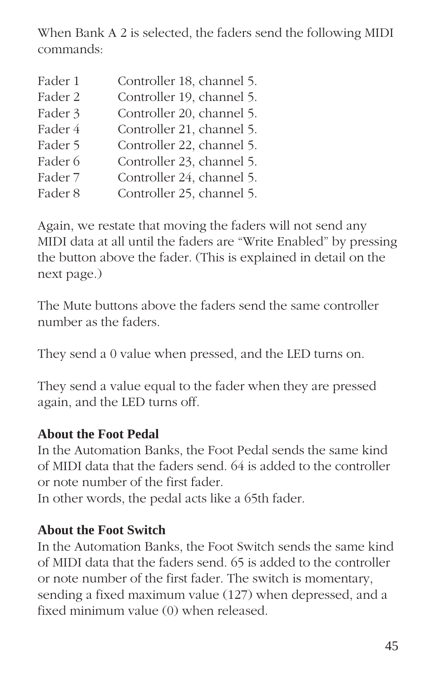When Bank A 2 is selected, the faders send the following MIDI commands:

| Fader 1 | Controller 18, channel 5. |
|---------|---------------------------|
| Fader 2 | Controller 19, channel 5. |
| Fader 3 | Controller 20, channel 5. |
| Fader 4 | Controller 21, channel 5. |
| Fader 5 | Controller 22, channel 5. |
| Fader 6 | Controller 23, channel 5. |
| Fader 7 | Controller 24, channel 5. |
| Fader 8 | Controller 25, channel 5. |
|         |                           |

Again, we restate that moving the faders will not send any MIDI data at all until the faders are "Write Enabled" by pressing the button above the fader. (This is explained in detail on the next page.)

The Mute buttons above the faders send the same controller number as the faders.

They send a 0 value when pressed, and the LED turns on.

They send a value equal to the fader when they are pressed again, and the LED turns off.

## **About the Foot Pedal**

In the Automation Banks, the Foot Pedal sends the same kind of MIDI data that the faders send. 64 is added to the controller or note number of the first fader.

In other words, the pedal acts like a 65th fader.

### **About the Foot Switch**

In the Automation Banks, the Foot Switch sends the same kind of MIDI data that the faders send. 65 is added to the controller or note number of the first fader. The switch is momentary, sending a fixed maximum value (127) when depressed, and a fixed minimum value (0) when released.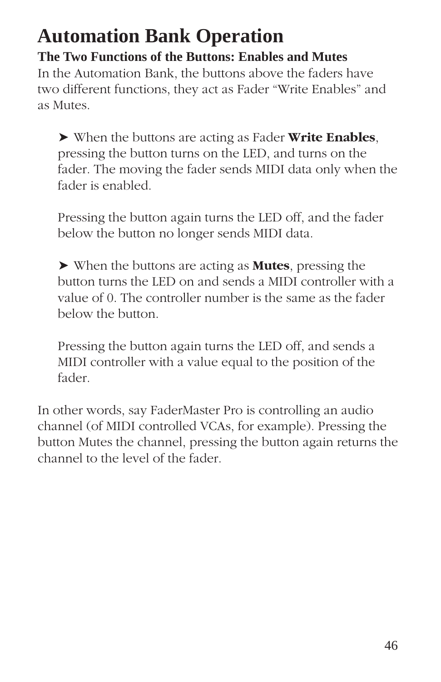# **Automation Bank Operation**

**The Two Functions of the Buttons: Enables and Mutes** In the Automation Bank, the buttons above the faders have two different functions, they act as Fader "Write Enables" and as Mutes.

➤ When the buttons are acting as Fader **Write Enables**, pressing the button turns on the LED, and turns on the fader. The moving the fader sends MIDI data only when the fader is enabled.

Pressing the button again turns the LED off, and the fader below the button no longer sends MIDI data.

➤ When the buttons are acting as **Mutes**, pressing the button turns the LED on and sends a MIDI controller with a value of 0. The controller number is the same as the fader below the button.

Pressing the button again turns the LED off, and sends a MIDI controller with a value equal to the position of the fader.

In other words, say FaderMaster Pro is controlling an audio channel (of MIDI controlled VCAs, for example). Pressing the button Mutes the channel, pressing the button again returns the channel to the level of the fader.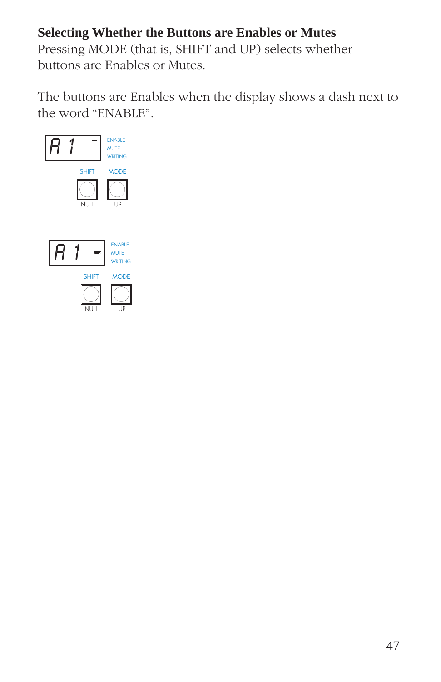## **Selecting Whether the Buttons are Enables or Mutes**

Pressing MODE (that is, SHIFT and UP) selects whether buttons are Enables or Mutes.

The buttons are Enables when the display shows a dash next to the word "ENABLE".

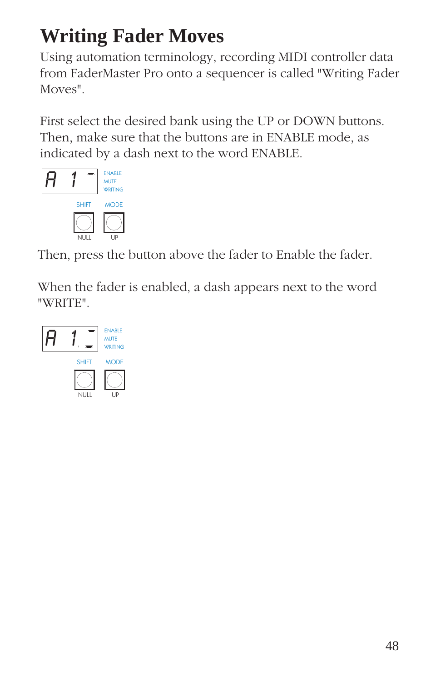# **Writing Fader Moves**

Using automation terminology, recording MIDI controller data from FaderMaster Pro onto a sequencer is called "Writing Fader Moves".

First select the desired bank using the UP or DOWN buttons. Then, make sure that the buttons are in ENABLE mode, as indicated by a dash next to the word ENABLE.



Then, press the button above the fader to Enable the fader.

When the fader is enabled, a dash appears next to the word "WRITE".

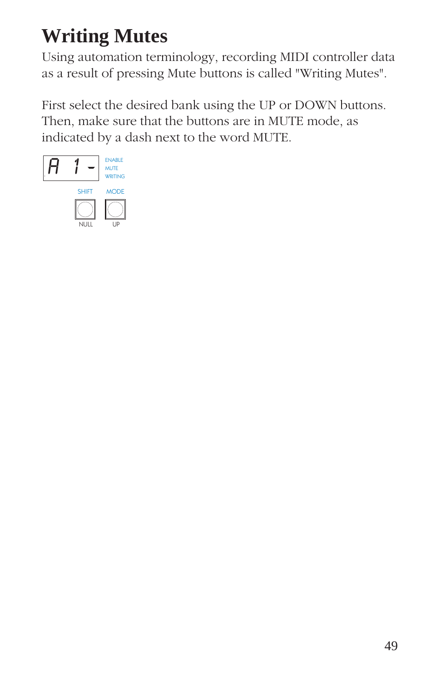# **Writing Mutes**

Using automation terminology, recording MIDI controller data as a result of pressing Mute buttons is called "Writing Mutes".

First select the desired bank using the UP or DOWN buttons. Then, make sure that the buttons are in MUTE mode, as indicated by a dash next to the word MUTE.

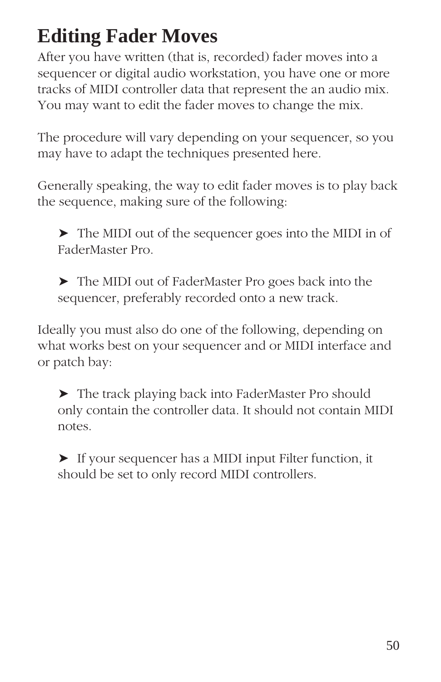# **Editing Fader Moves**

After you have written (that is, recorded) fader moves into a sequencer or digital audio workstation, you have one or more tracks of MIDI controller data that represent the an audio mix. You may want to edit the fader moves to change the mix.

The procedure will vary depending on your sequencer, so you may have to adapt the techniques presented here.

Generally speaking, the way to edit fader moves is to play back the sequence, making sure of the following:

➤ The MIDI out of the sequencer goes into the MIDI in of FaderMaster Pro.

➤ The MIDI out of FaderMaster Pro goes back into the sequencer, preferably recorded onto a new track.

Ideally you must also do one of the following, depending on what works best on your sequencer and or MIDI interface and or patch bay:

➤ The track playing back into FaderMaster Pro should only contain the controller data. It should not contain MIDI notes.

➤ If your sequencer has a MIDI input Filter function, it should be set to only record MIDI controllers.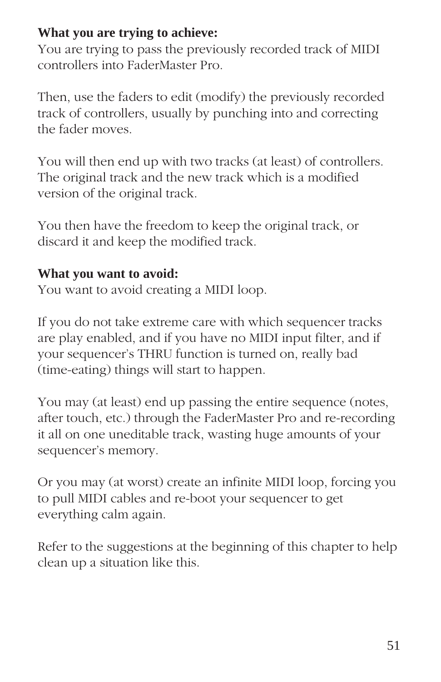## **What you are trying to achieve:**

You are trying to pass the previously recorded track of MIDI controllers into FaderMaster Pro.

Then, use the faders to edit (modify) the previously recorded track of controllers, usually by punching into and correcting the fader moves.

You will then end up with two tracks (at least) of controllers. The original track and the new track which is a modified version of the original track.

You then have the freedom to keep the original track, or discard it and keep the modified track.

## **What you want to avoid:**

You want to avoid creating a MIDI loop.

If you do not take extreme care with which sequencer tracks are play enabled, and if you have no MIDI input filter, and if your sequencer's THRU function is turned on, really bad (time-eating) things will start to happen.

You may (at least) end up passing the entire sequence (notes, after touch, etc.) through the FaderMaster Pro and re-recording it all on one uneditable track, wasting huge amounts of your sequencer's memory.

Or you may (at worst) create an infinite MIDI loop, forcing you to pull MIDI cables and re-boot your sequencer to get everything calm again.

Refer to the suggestions at the beginning of this chapter to help clean up a situation like this.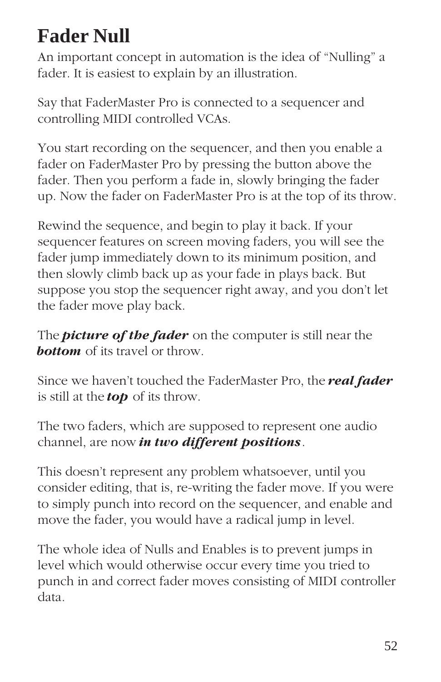# **Fader Null**

An important concept in automation is the idea of "Nulling" a fader. It is easiest to explain by an illustration.

Say that FaderMaster Pro is connected to a sequencer and controlling MIDI controlled VCAs.

You start recording on the sequencer, and then you enable a fader on FaderMaster Pro by pressing the button above the fader. Then you perform a fade in, slowly bringing the fader up. Now the fader on FaderMaster Pro is at the top of its throw.

Rewind the sequence, and begin to play it back. If your sequencer features on screen moving faders, you will see the fader jump immediately down to its minimum position, and then slowly climb back up as your fade in plays back. But suppose you stop the sequencer right away, and you don't let the fader move play back.

The *picture of the fader* on the computer is still near the **bottom** of its travel or throw.

Since we haven't touched the FaderMaster Pro, the *real fader* is still at the *top* of its throw.

The two faders, which are supposed to represent one audio channel, are now *in two different positions*.

This doesn't represent any problem whatsoever, until you consider editing, that is, re-writing the fader move. If you were to simply punch into record on the sequencer, and enable and move the fader, you would have a radical jump in level.

The whole idea of Nulls and Enables is to prevent jumps in level which would otherwise occur every time you tried to punch in and correct fader moves consisting of MIDI controller data.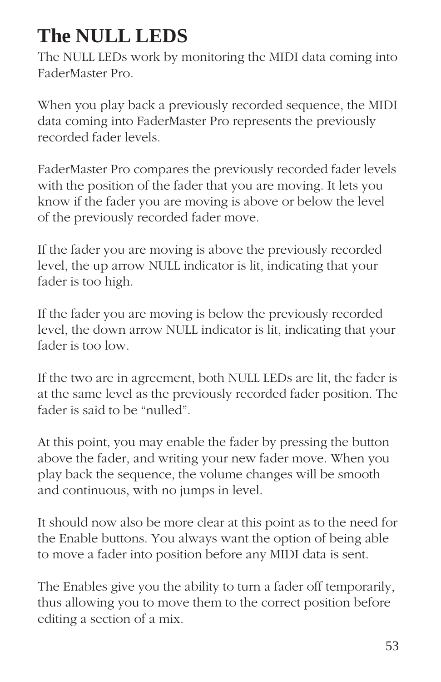# **The NULL LEDS**

The NULL LEDs work by monitoring the MIDI data coming into FaderMaster Pro.

When you play back a previously recorded sequence, the MIDI data coming into FaderMaster Pro represents the previously recorded fader levels.

FaderMaster Pro compares the previously recorded fader levels with the position of the fader that you are moving. It lets you know if the fader you are moving is above or below the level of the previously recorded fader move.

If the fader you are moving is above the previously recorded level, the up arrow NULL indicator is lit, indicating that your fader is too high.

If the fader you are moving is below the previously recorded level, the down arrow NULL indicator is lit, indicating that your fader is too low.

If the two are in agreement, both NULL LEDs are lit, the fader is at the same level as the previously recorded fader position. The fader is said to be "nulled".

At this point, you may enable the fader by pressing the button above the fader, and writing your new fader move. When you play back the sequence, the volume changes will be smooth and continuous, with no jumps in level.

It should now also be more clear at this point as to the need for the Enable buttons. You always want the option of being able to move a fader into position before any MIDI data is sent.

The Enables give you the ability to turn a fader off temporarily, thus allowing you to move them to the correct position before editing a section of a mix.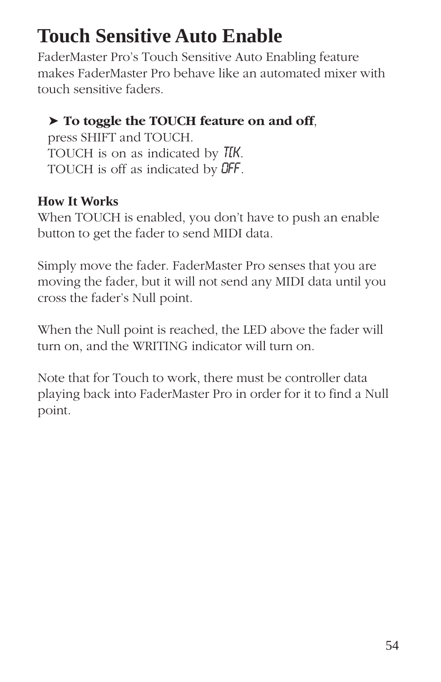# **Touch Sensitive Auto Enable**

FaderMaster Pro's Touch Sensitive Auto Enabling feature makes FaderMaster Pro behave like an automated mixer with touch sensitive faders.

## ➤ **To toggle the TOUCH feature on and off**,

press SHIFT and TOUCH. TOUCH is on as indicated by TIK. TOUCH is off as indicated by 0FF.

# **How It Works**

When TOUCH is enabled, you don't have to push an enable button to get the fader to send MIDI data.

Simply move the fader. FaderMaster Pro senses that you are moving the fader, but it will not send any MIDI data until you cross the fader's Null point.

When the Null point is reached, the LED above the fader will turn on, and the WRITING indicator will turn on.

Note that for Touch to work, there must be controller data playing back into FaderMaster Pro in order for it to find a Null point.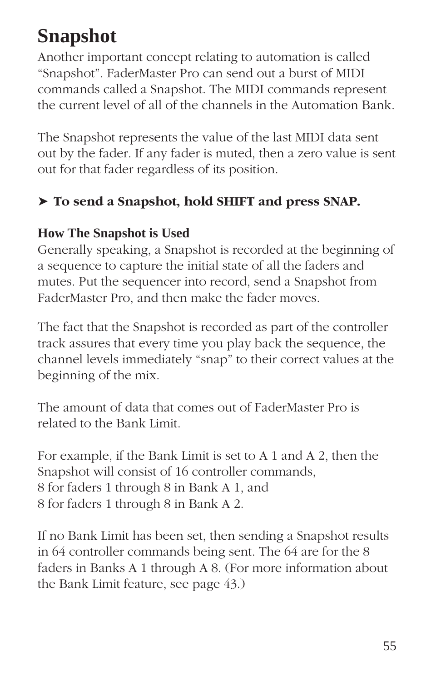# **Snapshot**

Another important concept relating to automation is called "Snapshot". FaderMaster Pro can send out a burst of MIDI commands called a Snapshot. The MIDI commands represent the current level of all of the channels in the Automation Bank.

The Snapshot represents the value of the last MIDI data sent out by the fader. If any fader is muted, then a zero value is sent out for that fader regardless of its position.

# ➤ **To send a Snapshot, hold SHIFT and press SNAP.**

## **How The Snapshot is Used**

Generally speaking, a Snapshot is recorded at the beginning of a sequence to capture the initial state of all the faders and mutes. Put the sequencer into record, send a Snapshot from FaderMaster Pro, and then make the fader moves.

The fact that the Snapshot is recorded as part of the controller track assures that every time you play back the sequence, the channel levels immediately "snap" to their correct values at the beginning of the mix.

The amount of data that comes out of FaderMaster Pro is related to the Bank Limit.

For example, if the Bank Limit is set to A 1 and A 2, then the Snapshot will consist of 16 controller commands, 8 for faders 1 through 8 in Bank A 1, and 8 for faders 1 through 8 in Bank A 2.

If no Bank Limit has been set, then sending a Snapshot results in 64 controller commands being sent. The 64 are for the 8 faders in Banks A 1 through A 8. (For more information about the Bank Limit feature, see page 43.)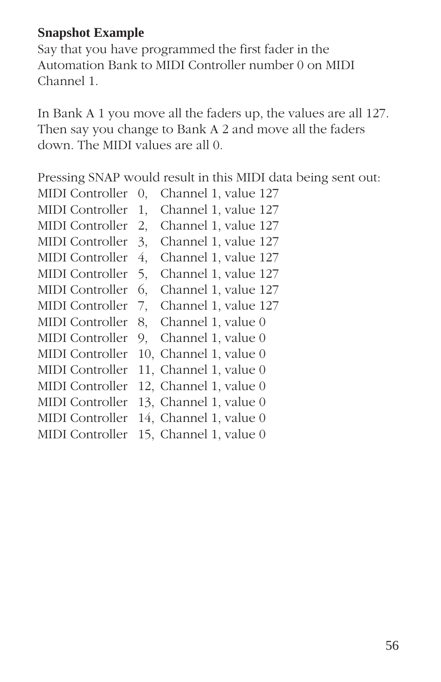## **Snapshot Example**

Say that you have programmed the first fader in the Automation Bank to MIDI Controller number 0 on MIDI Channel 1.

In Bank A 1 you move all the faders up, the values are all 127. Then say you change to Bank A 2 and move all the faders down. The MIDI values are all 0.

Pressing SNAP would result in this MIDI data being sent out:

MIDI Controller 0, Channel 1, value 127 MIDI Controller 1, Channel 1, value 127 MIDI Controller 2, Channel 1, value 127 MIDI Controller 3, Channel 1, value 127 MIDI Controller 4, Channel 1, value 127 MIDI Controller 5, Channel 1, value 127 MIDI Controller 6, Channel 1, value 127 MIDI Controller 7, Channel 1, value 127 MIDI Controller 8, Channel 1, value 0 MIDI Controller 9, Channel 1, value 0 MIDI Controller 10, Channel 1, value 0 MIDI Controller 11, Channel 1, value 0 MIDI Controller 12, Channel 1, value 0 MIDI Controller 13, Channel 1, value 0 MIDI Controller 14, Channel 1, value 0 MIDI Controller 15, Channel 1, value 0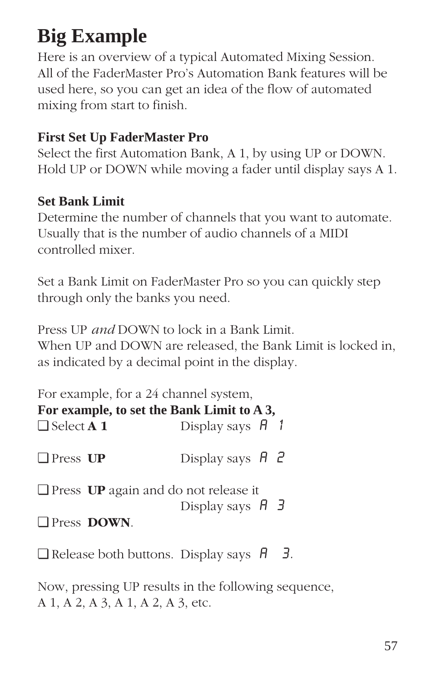# **Big Example**

Here is an overview of a typical Automated Mixing Session. All of the FaderMaster Pro's Automation Bank features will be used here, so you can get an idea of the flow of automated mixing from start to finish.

## **First Set Up FaderMaster Pro**

Select the first Automation Bank, A 1, by using UP or DOWN. Hold UP or DOWN while moving a fader until display says A 1.

## **Set Bank Limit**

Determine the number of channels that you want to automate. Usually that is the number of audio channels of a MIDI controlled mixer.

Set a Bank Limit on FaderMaster Pro so you can quickly step through only the banks you need.

Press UP *and* DOWN to lock in a Bank Limit. When UP and DOWN are released, the Bank Limit is locked in, as indicated by a decimal point in the display.

|                          | For example, for a 24 channel system,       |                               |  |
|--------------------------|---------------------------------------------|-------------------------------|--|
|                          | For example, to set the Bank Limit to A 3,  |                               |  |
| $\Box$ Select <b>A</b> 1 |                                             | Display says $H_1$            |  |
| $\Box$ Press UP          |                                             | Display says $\overline{H}$ 2 |  |
|                          | $\Box$ Press UP again and do not release it | Display says $H \rightarrow$  |  |
| <b>Press DOWN.</b>       |                                             |                               |  |

 $\Box$  Release both buttons. Display says  $\theta$  3.

Now, pressing UP results in the following sequence, A 1, A 2, A 3, A 1, A 2, A 3, etc.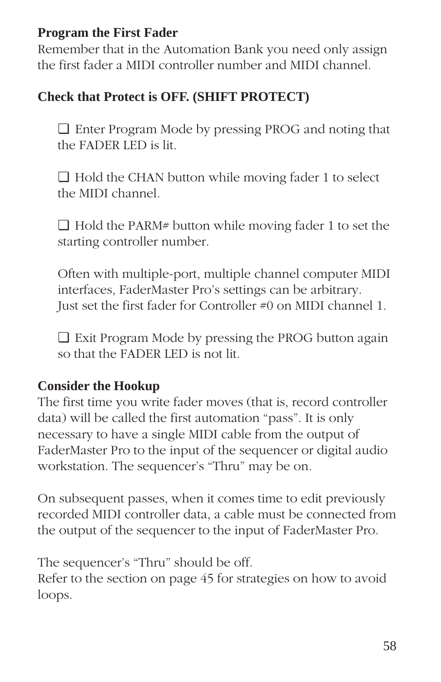## **Program the First Fader**

Remember that in the Automation Bank you need only assign the first fader a MIDI controller number and MIDI channel.

# **Check that Protect is OFF. (SHIFT PROTECT)**

❏ Enter Program Mode by pressing PROG and noting that the FADER LED is lit.

❏ Hold the CHAN button while moving fader 1 to select the MIDI channel.

❏ Hold the PARM# button while moving fader 1 to set the starting controller number.

Often with multiple-port, multiple channel computer MIDI interfaces, FaderMaster Pro's settings can be arbitrary. Just set the first fader for Controller #0 on MIDI channel 1.

❏ Exit Program Mode by pressing the PROG button again so that the FADER LED is not lit.

# **Consider the Hookup**

The first time you write fader moves (that is, record controller data) will be called the first automation "pass". It is only necessary to have a single MIDI cable from the output of FaderMaster Pro to the input of the sequencer or digital audio workstation. The sequencer's "Thru" may be on.

On subsequent passes, when it comes time to edit previously recorded MIDI controller data, a cable must be connected from the output of the sequencer to the input of FaderMaster Pro.

The sequencer's "Thru" should be off. Refer to the section on page 45 for strategies on how to avoid loops.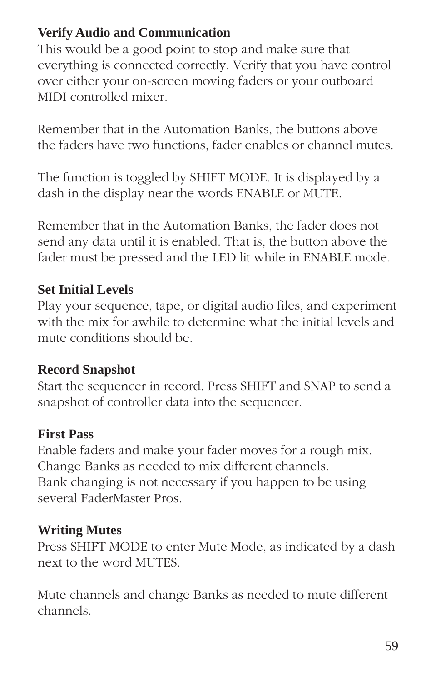# **Verify Audio and Communication**

This would be a good point to stop and make sure that everything is connected correctly. Verify that you have control over either your on-screen moving faders or your outboard MIDI controlled mixer.

Remember that in the Automation Banks, the buttons above the faders have two functions, fader enables or channel mutes.

The function is toggled by SHIFT MODE. It is displayed by a dash in the display near the words ENABLE or MUTE.

Remember that in the Automation Banks, the fader does not send any data until it is enabled. That is, the button above the fader must be pressed and the LED lit while in ENABLE mode.

## **Set Initial Levels**

Play your sequence, tape, or digital audio files, and experiment with the mix for awhile to determine what the initial levels and mute conditions should be.

## **Record Snapshot**

Start the sequencer in record. Press SHIFT and SNAP to send a snapshot of controller data into the sequencer.

## **First Pass**

Enable faders and make your fader moves for a rough mix. Change Banks as needed to mix different channels. Bank changing is not necessary if you happen to be using several FaderMaster Pros.

## **Writing Mutes**

Press SHIFT MODE to enter Mute Mode, as indicated by a dash next to the word MUTES.

Mute channels and change Banks as needed to mute different channels.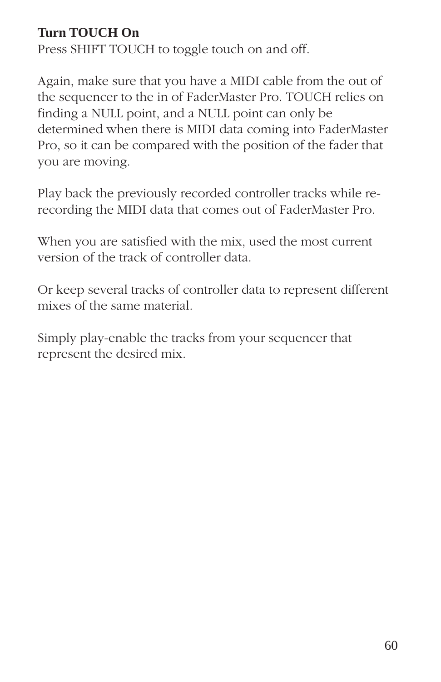# **Turn TOUCH On**

Press SHIFT TOUCH to toggle touch on and off.

Again, make sure that you have a MIDI cable from the out of the sequencer to the in of FaderMaster Pro. TOUCH relies on finding a NULL point, and a NULL point can only be determined when there is MIDI data coming into FaderMaster Pro, so it can be compared with the position of the fader that you are moving.

Play back the previously recorded controller tracks while rerecording the MIDI data that comes out of FaderMaster Pro.

When you are satisfied with the mix, used the most current version of the track of controller data.

Or keep several tracks of controller data to represent different mixes of the same material.

Simply play-enable the tracks from your sequencer that represent the desired mix.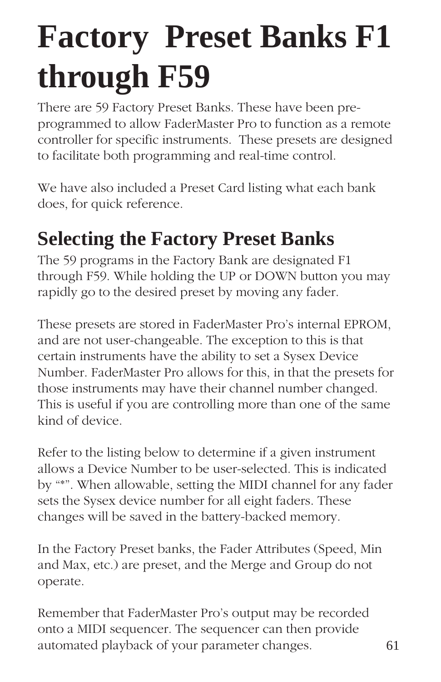# **Factory Preset Banks F1 through F59**

There are 59 Factory Preset Banks. These have been preprogrammed to allow FaderMaster Pro to function as a remote controller for specific instruments. These presets are designed to facilitate both programming and real-time control.

We have also included a Preset Card listing what each bank does, for quick reference.

# **Selecting the Factory Preset Banks**

The 59 programs in the Factory Bank are designated F1 through F59. While holding the UP or DOWN button you may rapidly go to the desired preset by moving any fader.

These presets are stored in FaderMaster Pro's internal EPROM, and are not user-changeable. The exception to this is that certain instruments have the ability to set a Sysex Device Number. FaderMaster Pro allows for this, in that the presets for those instruments may have their channel number changed. This is useful if you are controlling more than one of the same kind of device.

Refer to the listing below to determine if a given instrument allows a Device Number to be user-selected. This is indicated by "\*". When allowable, setting the MIDI channel for any fader sets the Sysex device number for all eight faders. These changes will be saved in the battery-backed memory.

In the Factory Preset banks, the Fader Attributes (Speed, Min and Max, etc.) are preset, and the Merge and Group do not operate.

Remember that FaderMaster Pro's output may be recorded onto a MIDI sequencer. The sequencer can then provide automated playback of your parameter changes. 61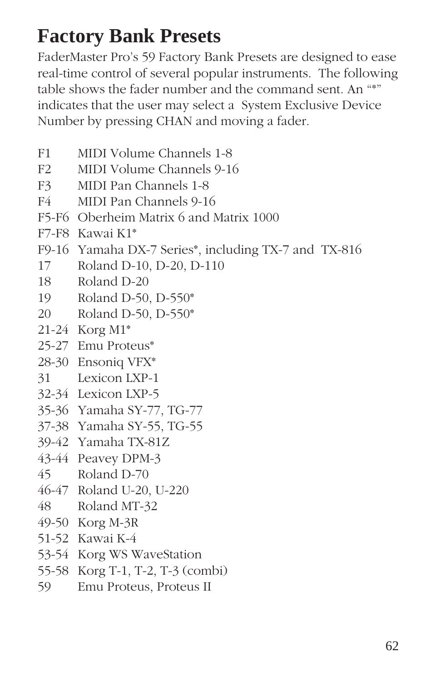# **Factory Bank Presets**

FaderMaster Pro's 59 Factory Bank Presets are designed to ease real-time control of several popular instruments. The following table shows the fader number and the command sent. An "\*" indicates that the user may select a System Exclusive Device Number by pressing CHAN and moving a fader.

- F1 MIDI Volume Channels 1-8
- F2 MIDI Volume Channels 9-16
- F3 MIDI Pan Channels 1-8
- F4 MIDI Pan Channels 9-16
- F5-F6 Oberheim Matrix 6 and Matrix 1000
- F7-F8 Kawai K1\*
- F9-16 Yamaha DX-7 Series\*, including TX-7 and TX-816
- 17 Roland D-10, D-20, D-110
- 18 Roland D-20
- 19 Roland D-50, D-550\*
- 20 Roland D-50, D-550\*
- 21-24 Korg M1\*
- 25-27 Emu Proteus\*
- 28-30 Ensoniq VFX\*
- 31 Lexicon LXP-1
- 32-34 Lexicon LXP-5
- 35-36 Yamaha SY-77, TG-77
- 37-38 Yamaha SY-55, TG-55
- 39-42 Yamaha TX-81Z
- 43-44 Peavey DPM-3
- 45 Roland D-70
- 46-47 Roland U-20, U-220
- 48 Roland MT-32
- 49-50 Korg M-3R
- 51-52 Kawai K-4
- 53-54 Korg WS WaveStation
- 55-58 Korg T-1, T-2, T-3 (combi)
- 59 Emu Proteus, Proteus II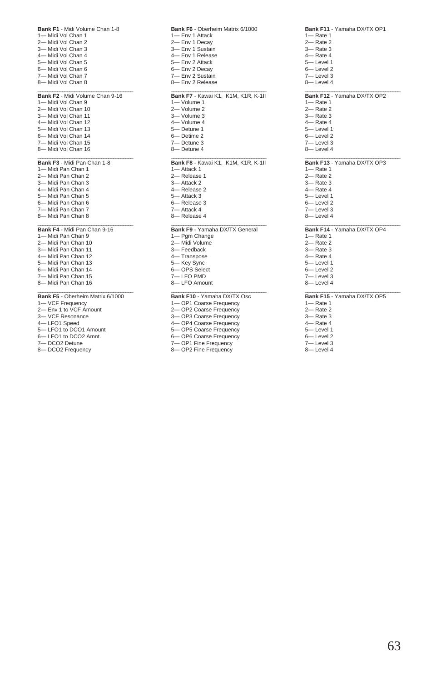| Bank F1 - Midi Volume Chan 1-8            |
|-------------------------------------------|
| 1- Midi Vol Chan 1                        |
| 2-Midi Vol Chan 2                         |
| 3-Midi Vol Chan 3                         |
| 4-Midi Vol Chan 4                         |
| 5-Midi Vol Chan 5                         |
| 6-Midi Vol Chan 6                         |
| 7-Midi Vol Chan 7                         |
| 8- Midi Vol Chan 8                        |
|                                           |
| Bank F2 - Midi Volume Chan 9-16           |
| 1- Midi Vol Chan 9                        |
| 2-Midi Vol Chan 10                        |
| 3-Midi Vol Chan 11                        |
| 4-Midi Vol Chan 12                        |
| 5-Midi Vol Chan 13                        |
| 6- Midi Vol Chan 14                       |
| 7-Midi Vol Chan 15                        |
| 8-Midi Vol Chan 16                        |
|                                           |
| Bank F3 - Midi Pan Chan 1-8               |
| 1- Midi Pan Chan 1                        |
| 2-Midi Pan Chan 2                         |
| 3-Midi Pan Chan 3                         |
| 4-Midi Pan Chan 4                         |
| 5- Midi Pan Chan 5                        |
| 6- Midi Pan Chan 6                        |
| 7-Midi Pan Chan 7                         |
| 8- Midi Pan Chan 8                        |
|                                           |
| Bank F4 - Midi Pan Chan 9-16              |
|                                           |
| 1- Midi Pan Chan 9                        |
| 2- Midi Pan Chan 10                       |
| 3— Midi Pan Chan 11                       |
|                                           |
| 4-Midi Pan Chan 12<br>5- Midi Pan Chan 13 |
| 6-Midi Pan Chan 14                        |
|                                           |
| 7-Midi Pan Chan 15                        |
| 8-Midi Pan Chan 16                        |
| Bank F5 - Oberheim Matrix 6/1000          |
| 1- VCF Frequency                          |
| 2- Env 1 to VCF Amount                    |
| 3-VCF Resonance                           |
| 4-LFO1 Speed                              |

- 5— LFO1 to DCO1 Amount 6— LFO1 to DCO2 Amnt.
- 
- 7— DCO2 Detune 8— DCO2 Frequency

**Bank F6** - Oberheim Matrix 6/1000 1— Env 1 Attack 2— Env 1 Decay 3— Env 1 Sustain 4— Env 1 Release 5— Env 2 Attack 6— Env 2 Decay 7— Env 2 Sustain 8-Env 2 Release \_\_\_\_\_\_\_\_\_\_\_\_\_\_\_\_\_\_\_\_\_\_\_\_\_\_\_\_\_\_\_\_\_\_\_\_\_\_\_ **Bank F7** - Kawai K1, K1M, K1R, K-1II 1— Volume 1 2— Volume 2 3— Volume 3 4— Volume 4 5— Detune 1 6— Detime 2 7— Detune 3 8— Detune 4 \_\_\_\_\_\_\_\_\_\_\_\_\_\_\_\_\_\_\_\_\_\_\_\_\_\_\_\_\_\_\_\_\_\_\_\_\_\_\_ **Bank F8** - Kawai K1, K1M, K1R, K-1II 1— Attack 1 2— Release 1 3— Attack 2 4— Release 2 5— Attack 3 6— Release 3 7— Attack 4 8— Release 4 \_\_\_\_\_\_\_\_\_\_\_\_\_\_\_\_\_\_\_\_\_\_\_\_\_\_\_\_\_\_\_\_\_\_\_\_\_\_\_ **Bank F9** - Yamaha DX/TX General 1— Pgm Change 2— Midi Volume 3— Feedback 4— Transpose

5— Key Sync 6— OPS Select 7— LFO PMD 8— LFO Amount \_\_\_\_\_\_\_\_\_\_\_\_\_\_\_\_\_\_\_\_\_\_\_\_\_\_\_\_\_\_\_\_\_\_\_\_\_\_\_ **Bank F10** - Yamaha DX/TX Osc 1— OP1 Coarse Frequency 2— OP2 Coarse Frequency 3— OP3 Coarse Frequency 4— OP4 Coarse Frequency

5— OP5 Coarse Frequency

6— OP6 Coarse Frequency 7— OP1 Fine Frequency 8— OP2 Fine Frequency

### **Bank F11** - Yamaha DX/TX OP1 1— Rate 1  $2$ — Rate 2 3— Rate 3  $4-$  Rate  $4$ 5— Level 1 6— Level 2 7— Level 3 8— Level 4 \_\_\_\_\_\_\_\_\_\_\_\_\_\_\_\_\_\_\_\_\_\_\_\_\_\_\_\_\_\_\_\_\_\_\_\_\_\_\_ **Bank F12** - Yamaha DX/TX OP2 1— Rate 1 2— Rate 2 3— Rate 3  $4-$  Rate  $4$ 5— Level 1 6— Level 2 7— Level 3 8— Level 4 \_\_\_\_\_\_\_\_\_\_\_\_\_\_\_\_\_\_\_\_\_\_\_\_\_\_\_\_\_\_\_\_\_\_\_\_\_\_\_ **Bank F13** - Yamaha DX/TX OP3 1— Rate 1  $2$ — Rate 2 3— Rate 3 4— Rate 4 5— Level 1 6— Level 2 7— Level 3 8— Level 4 \_\_\_\_\_\_\_\_\_\_\_\_\_\_\_\_\_\_\_\_\_\_\_\_\_\_\_\_\_\_\_\_\_\_\_\_\_\_\_ **Bank F14** - Yamaha DX/TX OP4 1— Rate 1 2— Rate 2 3— Rate 3 4— Rate 4 5— Level 1 6— Level 2 7— Level 3 8— Level 4

### \_\_\_\_\_\_\_\_\_\_\_\_\_\_\_\_\_\_\_\_\_\_\_\_\_\_\_\_\_\_\_\_\_\_\_\_\_\_\_ **Bank F15** - Yamaha DX/TX OP5

1— Rate 1 2— Rate 2

- 3— Rate 3
- 4— Rate 4
- 5— Level 1
- 6— Level 2
- 7— Level 3
- 8— Level 4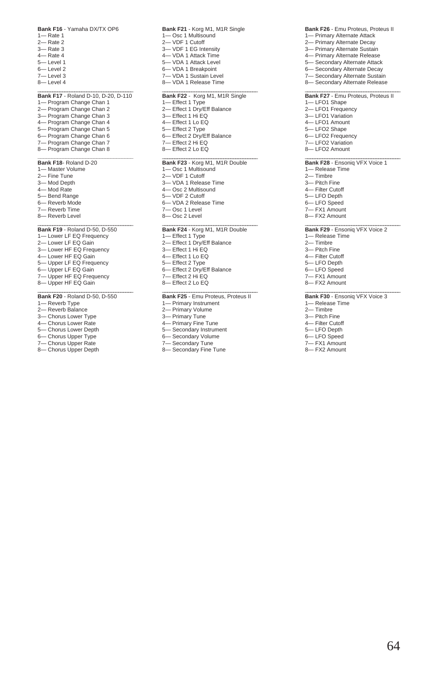#### **Bank F16** - Yamaha DX/TX OP6

1— Rate 1 2— Rate 2 3— Rate 3 4— Rate 4 5— Level 1 6— Level 2 7— Level 3 8— Level 4

### **Bank F17** - Roland D-10, D-20, D-110

1— Program Change Chan 1 2— Program Change Chan 2 3— Program Change Chan 3 4— Program Change Chan 4 5— Program Change Chan 5 6— Program Change Chan 6 7— Program Change Chan 7 8— Program Change Chan 8

### **\_\_\_\_\_\_\_\_\_\_\_\_\_\_\_\_\_\_\_\_\_\_\_\_\_\_\_\_\_\_\_\_\_\_ Bank F18**- Roland D-20

- 1— Master Volume 2— Fine Tune 3— Mod Depth 4— Mod Rate 5— Bend Range 6— Reverb Mode
- 7— Reverb Time
- 8— Reverb Level

### \_\_\_\_\_\_\_\_\_\_\_\_\_\_\_\_\_\_\_\_\_\_\_\_\_\_\_\_\_\_\_\_\_\_\_\_\_\_\_ **Bank F19** - Roland D-50, D-550

- 1— Lower LF EQ Frequency
- 2— Lower LF EQ Gain
- 3— Lower HF EQ Frequency
- 4— Lower HF EQ Gain
- 5— Upper LF EQ Frequency
- 6— Upper LF EQ Gain
- 7— Upper HF EQ Frequency
- 8- Upper HF EQ Gain

### \_\_\_\_\_\_\_\_\_\_\_\_\_\_\_\_\_\_\_\_\_\_\_\_\_\_\_\_\_\_\_\_\_\_\_\_\_\_\_ **Bank F20** - Roland D-50, D-550

- 1— Reverb Type
- 2— Reverb Balance
- 3— Chorus Lower Type
- 4— Chorus Lower Rate
- 5— Chorus Lower Depth
- 6— Chorus Upper Type 7— Chorus Upper Rate
- 8— Chorus Upper Depth

**Bank F21** - Korg M1, M1R Single 1— Osc 1 Multisound 2— VDF 1 Cutoff 3— VDF 1 EG Intensity 4— VDA 1 Attack Time 5— VDA 1 Attack Level 6— VDA 1 Breakpoint 7— VDA 1 Sustain Level 8— VDA 1 Release Time \_\_\_\_\_\_\_\_\_\_\_\_\_\_\_\_\_\_\_\_\_\_\_\_\_\_\_\_\_\_\_\_\_\_\_\_\_\_\_ **Bank F22** - Korg M1, M1R Single 1— Effect 1 Type 2— Effect 1 Dry/Eff Balance 3— Effect 1 Hi EQ 4— Effect 1 Lo EQ 5— Effect 2 Type 6— Effect 2 Dry/Eff Balance 7— Effect 2 Hi EQ 8— Effect 2 Lo EQ \_\_\_\_\_\_\_\_\_\_\_\_\_\_\_\_\_\_\_\_\_\_\_\_\_\_\_\_\_\_\_\_\_\_\_\_\_\_\_ **Bank F23** - Korg M1, M1R Double 1— Osc 1 Multisound 2— VDF 1 Cutoff 3— VDA 1 Release Time 4— Osc 2 Multisound 5— VDF 2 Cutoff 6— VDA 2 Release Time 7— Osc 1 Level 8— Osc 2 Level

### \_\_\_\_\_\_\_\_\_\_\_\_\_\_\_\_\_\_\_\_\_\_\_\_\_\_\_\_\_\_\_\_\_\_\_\_\_\_\_ **Bank F24** - Korg M1, M1R Double 1— Effect 1 Type 2— Effect 1 Dry/Eff Balance 3— Effect 1 Hi EQ

- 4— Effect 1 Lo EQ
- 5— Effect 2 Type
- 6— Effect 2 Dry/Eff Balance
- 7— Effect 2 Hi EQ
- 8— Effect 2 Lo EQ

### \_\_\_\_\_\_\_\_\_\_\_\_\_\_\_\_\_\_\_\_\_\_\_\_\_\_\_\_\_\_\_\_\_\_\_\_\_\_\_ **Bank F25** - Emu Proteus, Proteus II

- 1— Primary Instrument
- 2— Primary Volume
- 3— Primary Tune
- 4— Primary Fine Tune 5— Secondary Instrument
- 6— Secondary Volume
- 7— Secondary Tune
- 8— Secondary Fine Tune

#### **Bank F26** - Emu Proteus, Proteus II 1— Primary Alternate Attack

- 2- Primary Alternate Decay
- 3— Primary Alternate Sustain
- 4— Primary Alternate Release 5— Secondary Alternate Attack
- 6— Secondary Alternate Decay
- 7— Secondary Alternate Sustain
- 8— Secondary Alternate Release

### \_\_\_\_\_\_\_\_\_\_\_\_\_\_\_\_\_\_\_\_\_\_\_\_\_\_\_\_\_\_\_\_\_\_\_\_\_\_\_ **Bank F27** - Emu Proteus, Proteus II

- 1— LFO1 Shape
- 2— LFO1 Frequency
- 3— LFO1 Variation
- 4— LFO1 Amount 5— LFO2 Shape
- 6— LFO2 Frequency
- 7— LFO2 Variation
- 8— LFO2 Amount

### Bank F28 - Ensoniq VFX Voice 1

- 1— Release Time
- 2— Timbre
- 3— Pitch Fine
- 4— Filter Cutoff
- 5— LFO Depth
- 6— LFO Speed
- 7— FX1 Amount 8— FX2 Amount

### Bank F29 - Ensoniq VFX Voice 2

- 1— Release Time
- 2— Timbre
- 3— Pitch Fine
- 4— Filter Cutoff
- 5— LFO Depth
- 6— LFO Speed
- 7— FX1 Amount
- 8— FX2 Amount

### Bank F30 - Ensoniq VFX Voice 3

- 1— Release Time
- 2— Timbre
- 3— Pitch Fine
- 4- Filter Cutoff
- LFO Depth
- 6— LFO Speed 7— FX1 Amount
- 8— FX2 Amount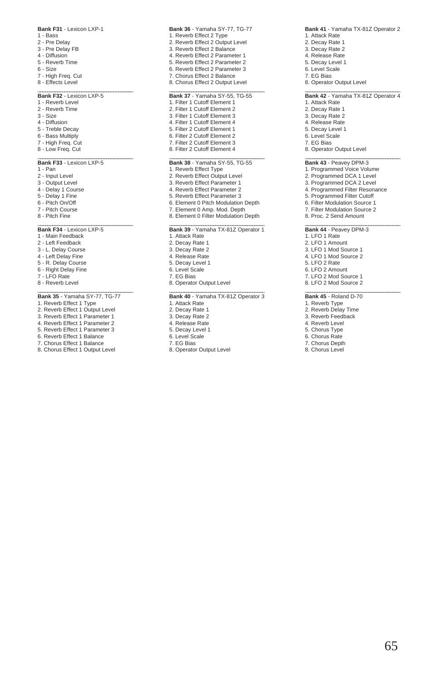### **Bank F31** - Lexicon LXP-1

- 1 Bass
- 2 Pre Delay
- 3 Pre Delay FB
- 4 Diffusion
- 5 Reverb Time
- 6 Size
- 7 High Freq. Cut
- 8 Effects Level

### \_\_\_\_\_\_\_\_\_\_\_\_\_\_\_\_\_\_\_\_\_\_\_\_\_\_\_\_\_\_\_\_\_\_\_\_\_\_\_ **Bank F32** - Lexicon LXP-5

- 1 Reverb Level
- 2 Reverb Time
- 3 Size
- 4 Diffusion
- 5 Treble Decay
- 6 Bass Multiply
- 7 High Freq. Cut
- 8 Low Freq. Cut

### \_\_\_\_\_\_\_\_\_\_\_\_\_\_\_\_\_\_\_\_\_\_\_\_\_\_\_\_\_\_\_\_\_\_\_\_\_\_\_ **Bank F33** - Lexicon LXP-5

- 1 Pan
- 2 Input Level
- 3 Output Level
- 4 Delay 1 Course
- 5 Delay 1 Fine
- 6 Pitch On/Off
- 7 Pitch Course
- 8 Pitch Fine

### \_\_\_\_\_\_\_\_\_\_\_\_\_\_\_\_\_\_\_\_\_\_\_\_\_\_\_\_\_\_\_\_\_\_\_\_\_\_\_ **Bank F34** - Lexicon LXP-5

- 1 Main Feedback
- 2 Left Feedback
- 3 L. Delay Course
- 4 Left Delay Fine
- 5 R. Delay Course
- 6 Right Delay Fine
- 7 LFO Rate
- 8 Reverb Level

### \_\_\_\_\_\_\_\_\_\_\_\_\_\_\_\_\_\_\_\_\_\_\_\_\_\_\_\_\_\_\_\_\_\_\_\_\_\_\_ **Bank 35** - Yamaha SY-77, TG-77

- 1. Reverb Effect 1 Type
- 2. Reverb Effect 1 Output Level
- 3. Reverb Effect 1 Parameter 1
- 4. Reverb Effect 1 Parameter 2
- 5. Reverb Effect 1 Parameter 3
- 6. Reverb Effect 1 Balance
- 7. Chorus Effect 1 Balance
- 8. Chorus Effect 1 Output Level
- **Bank 36** Yamaha SY-77, TG-77 1. Reverb Effect 2 Type 2. Reverb Effect 2 Output Level 3. Reverb Effect 2 Balance 4. Reverb Effect 2 Parameter 1 5. Reverb Effect 2 Parameter 2 6. Reverb Effect 2 Parameter 3 7. Chorus Effect 2 Balance 8. Chorus Effect 2 Output Level \_\_\_\_\_\_\_\_\_\_\_\_\_\_\_\_\_\_\_\_\_\_\_\_\_\_\_\_\_\_\_\_\_\_\_\_\_\_\_ **Bank 37** - Yamaha SY-55, TG-55 1. Filter 1 Cutoff Element 1 2. Filter 1 Cutoff Element 2 3. Filter 1 Cutoff Element 3 4. Filter 1 Cutoff Element 4 5. Filter 2 Cutoff Element 1 6. Filter 2 Cutoff Element 2 7. Filter 2 Cutoff Element 3 8. Filter 2 Cutoff Element 4 \_\_\_\_\_\_\_\_\_\_\_\_\_\_\_\_\_\_\_\_\_\_\_\_\_\_\_\_\_\_\_\_\_\_\_\_\_\_\_ **Bank 38** - Yamaha SY-55, TG-55 1. Reverb Effect Type 2. Reverb Effect Output Level 3. Reverb Effect Parameter 1 4. Reverb Effect Parameter 2 5. Reverb Effect Parameter 3 6. Element 0 Pitch Modulation Depth 7. Element 0 Amp. Mod. Depth 8. Element 0 Filter Modulation Depth \_\_\_\_\_\_\_\_\_\_\_\_\_\_\_\_\_\_\_\_\_\_\_\_\_\_\_\_\_\_\_\_\_\_\_\_\_\_\_ **Bank 39** - Yamaha TX-81Z Operator 1 1. Attack Rate 2. Decay Rate 1 3. Decay Rate 2 4. Release Rate 5. Decay Level 1 6. Level Scale 7. EG Bias 8. Operator Output Level \_\_\_\_\_\_\_\_\_\_\_\_\_\_\_\_\_\_\_\_\_\_\_\_\_\_\_\_\_\_\_\_\_\_\_\_\_\_\_ **Bank 40** - Yamaha TX-81Z Operator 3
- 1. Attack Rate
- 2. Decay Rate 1
- 3. Decay Rate 2
- 4. Release Rate 5. Decay Level 1
- 6. Level Scale
- 7. EG Bias
- 
- 8. Operator Output Level

1. Attack Rate 2. Decay Rate 1 3. Decay Rate 2 4. Release Rate 5. Decay Level 1 6. Level Scale 7. EG Bias 8. Operator Output Level \_\_\_\_\_\_\_\_\_\_\_\_\_\_\_\_\_\_\_\_\_\_\_\_\_\_\_\_\_\_\_\_\_\_\_\_\_\_\_ **Bank 42** - Yamaha TX-81Z Operator 4 1. Attack Rate 2. Decay Rate 1 3. Decay Rate 2 4. Release Rate 5. Decay Level 1 6. Level Scale 7. EG Bias 8. Operator Output Level \_\_\_\_\_\_\_\_\_\_\_\_\_\_\_\_\_\_\_\_\_\_\_\_\_\_\_\_\_\_\_\_\_\_\_\_\_\_\_ **Bank 43** - Peavey DPM-3 1. Programmed Voice Volume 2. Programmed DCA 1 Level 3. Programmed DCA 2 Level 4. Programmed Filter Resonance 5. Programmed Filter Cutoff 6. Filter Modulation Source 1 7. Filter Modulation Source 2 8. Proc. 2 Send Amount \_\_\_\_\_\_\_\_\_\_\_\_\_\_\_\_\_\_\_\_\_\_\_\_\_\_\_\_\_\_\_\_\_\_\_\_\_\_\_ **Bank 44** - Peavey DPM-3 1. LFO 1 Rate 2. LFO 1 Amount 3. LFO 1 Mod Source 1 4. LFO 1 Mod Source 2 5. LFO 2 Rate 6. LFO 2 Amount 7. LFO 2 Mod Source 1 8. LFO 2 Mod Source 2 \_\_\_\_\_\_\_\_\_\_\_\_\_\_\_\_\_\_\_\_\_\_\_\_\_\_\_\_\_\_\_\_\_\_\_\_\_\_\_ **Bank 45** - Roland D-70

**Bank 41** - Yamaha TX-81Z Operator 2

- 1. Reverb Type
- 2. Reverb Delay Time 3. Reverb Feedback
- 4. Reverb Level
- 5. Chorus Type
- 6. Chorus Rate
- 7. Chorus Depth
- 8. Chorus Level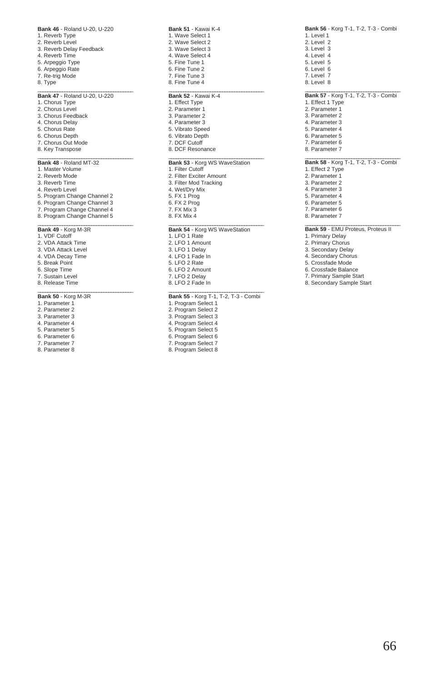| Bank 46 - Roland U-20. U-220<br>1. Reverb Type<br>2. Reverb Level<br>3. Reverb Delay Feedback<br>4. Reverb Time<br>5. Arpeggio Type<br>6. Arpeggio Rate                                                                       |
|-------------------------------------------------------------------------------------------------------------------------------------------------------------------------------------------------------------------------------|
| 7. Re-trig Mode<br>8. Type                                                                                                                                                                                                    |
| Bank 47 - Roland U-20, U-220<br>1. Chorus Type<br>2. Chorus Level<br>3. Chorus Feedback<br>4. Chorus Delay<br>5. Chorus Rate<br>6. Chorus Depth<br>7. Chorus Out Mode<br>8. Key Transpose                                     |
| Bank 48 - Roland MT-32<br>1. Master Volume<br>2. Reverb Mode<br>3. Reverb Time<br>4. Reverb Level<br>5. Program Change Channel 2<br>6. Program Change Channel 3<br>7. Program Change Channel 4<br>8. Program Change Channel 5 |
| Bank 49 - Korg M-3R<br>1. VDF Cutoff<br>2. VDA Attack Time<br>$0.1/DA$ $Au = 1.1$                                                                                                                                             |

**Bank 46** - Roland U-20, U-220

- 3. VDA Attack Level 4. VDA Decay Time 5. Break Point 6. Slope Time
- 7. Sustain Level
- 8. Release Time

### \_\_\_\_\_\_\_\_\_\_\_\_\_\_\_\_\_\_\_\_\_\_\_\_\_\_\_\_\_\_\_\_\_\_\_\_\_\_\_ **Bank 50** - Korg M-3R

- 1. Parameter 1
- 2. Parameter 2 3. Parameter 3
- 4. Parameter 4
- 5. Parameter 5
- 6. Parameter 6
- 7. Parameter 7
- 8. Parameter 8

**Bank 51** - Kawai K-4 1. Wave Select 1 2. Wave Select 2 3. Wave Select 3 4. Wave Select 4 5. Fine Tune 1 6. Fine Tune 2 7. Fine Tune 3 8. Fine Tune 4 \_\_\_\_\_\_\_\_\_\_\_\_\_\_\_\_\_\_\_\_\_\_\_\_\_\_\_\_\_\_\_\_\_\_\_\_\_\_\_ **Bank 52** - Kawai K-4 1. Effect Type 2. Parameter 1 3. Parameter 2 4. Parameter 3 5. Vibrato Speed 6. Vibrato Depth 7. DCF Cutoff 8. DCF Resonance \_\_\_\_\_\_\_\_\_\_\_\_\_\_\_\_\_\_\_\_\_\_\_\_\_\_\_\_\_\_\_\_\_\_\_\_\_\_\_ **Bank 53** - Korg WS WaveStation 1. Filter Cutoff 2. Filter Exciter Amount

3. Filter Mod Tracking 4. Wet/Dry Mix 5. FX 1 Prog 6. FX 2 Prog 7. FX Mix 3

\_\_\_\_\_\_\_\_\_\_\_\_\_\_\_\_\_\_\_\_\_\_\_\_\_\_\_\_\_\_\_\_\_\_\_\_\_\_\_ **Bank 54** - Korg WS WaveStation 1. LFO 1 Rate 2. LFO 1 Amount 3. LFO 1 Delay 4. LFO 1 Fade In 5. LFO 2 Rate

- 6. LFO 2 Amount 7. LFO 2 Delay
- 8. LFO 2 Fade In

8. FX Mix 4

# **Bank 55** - Korg T-1, T-2, T-3 - Combi<br>1. Program Select 1

- 2. Program Select 2
- 3. Program Select 3
- 4. Program Select 4
- 5. Program Select 5
- 6. Program Select 6
- 7. Program Select 7
- 8. Program Select 8

**Bank 56** - Korg T-1, T-2, T-3 - Combi 1. Level 1 2. Level 2 3. Level 3 4. Level 4 5. Level 5 6. Level 6 7. Level 7 8. Level 8 \_\_\_\_\_\_\_\_\_\_\_\_\_\_\_\_\_\_\_\_\_\_\_\_\_\_\_\_\_\_\_\_\_\_\_\_\_\_\_ **Bank 57** - Korg T-1, T-2, T-3 - Combi 1. Effect 1 Type 2. Parameter 1 3. Parameter 2 4. Parameter 3 5. Parameter 4 6. Parameter 5 7. Parameter 6 8. Parameter 7 \_\_\_\_\_\_\_\_\_\_\_\_\_\_\_\_\_\_\_\_\_\_\_\_\_\_\_\_\_\_\_\_\_\_\_\_\_\_\_ **Bank 58** - Korg T-1, T-2, T-3 - Combi 1. Effect 2 Type 2. Parameter 1 3. Parameter 2 4. Parameter 3

7. Parameter 6 8. Parameter 7

5. Parameter 4 6. Parameter 5

- \_\_\_\_\_\_\_\_\_\_\_\_\_\_\_\_\_\_\_\_\_\_\_\_\_\_\_\_\_\_\_\_\_\_\_\_\_\_\_ **Bank 59** EMU Proteus, Proteus II
- 1. Primary Delay
- 2. Primary Chorus
- 3. Secondary Delay
- 4. Secondary Chorus
- 5. Crossfade Mode 6. Crossfade Balance
- 7. Primary Sample Start
- 8. Secondary Sample Start
-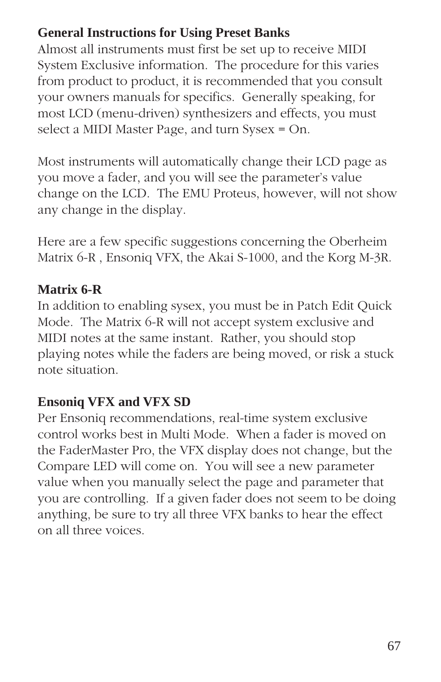# **General Instructions for Using Preset Banks**

Almost all instruments must first be set up to receive MIDI System Exclusive information. The procedure for this varies from product to product, it is recommended that you consult your owners manuals for specifics. Generally speaking, for most LCD (menu-driven) synthesizers and effects, you must select a MIDI Master Page, and turn Sysex = On.

Most instruments will automatically change their LCD page as you move a fader, and you will see the parameter's value change on the LCD. The EMU Proteus, however, will not show any change in the display.

Here are a few specific suggestions concerning the Oberheim Matrix 6-R , Ensoniq VFX, the Akai S-1000, and the Korg M-3R.

## **Matrix 6-R**

In addition to enabling sysex, you must be in Patch Edit Quick Mode. The Matrix 6-R will not accept system exclusive and MIDI notes at the same instant. Rather, you should stop playing notes while the faders are being moved, or risk a stuck note situation.

# **Ensoniq VFX and VFX SD**

Per Ensoniq recommendations, real-time system exclusive control works best in Multi Mode. When a fader is moved on the FaderMaster Pro, the VFX display does not change, but the Compare LED will come on. You will see a new parameter value when you manually select the page and parameter that you are controlling. If a given fader does not seem to be doing anything, be sure to try all three VFX banks to hear the effect on all three voices.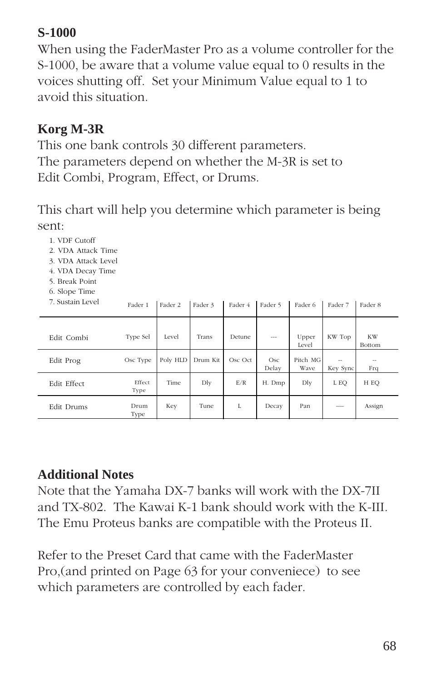# **S-1000**

When using the FaderMaster Pro as a volume controller for the S-1000, be aware that a volume value equal to 0 results in the voices shutting off. Set your Minimum Value equal to 1 to avoid this situation.

# **Korg M-3R**

1. VDF Cutoff

This one bank controls 30 different parameters. The parameters depend on whether the M-3R is set to Edit Combi, Program, Effect, or Drums.

This chart will help you determine which parameter is being sent:

| 2. VDA Attack Time<br>3. VDA Attack Level<br>4. VDA Decay Time<br>5. Break Point<br>6. Slope Time |                |          |          |         |              |                  |                    |                     |
|---------------------------------------------------------------------------------------------------|----------------|----------|----------|---------|--------------|------------------|--------------------|---------------------|
| 7. Sustain Level                                                                                  | Fader 1        | Fader 2  | Fader 3  | Fader 4 | Fader 5      | Fader 6          | Fader 7            | Fader 8             |
| Edit Combi                                                                                        | Type Sel       | Level    | Trans    | Detune  | $\cdots$     | Upper<br>Level   | KW Top             | <b>KW</b><br>Bottom |
| Edit Prog                                                                                         | Osc Type       | Poly HLD | Drum Kit | Osc Oct | Osc<br>Delay | Pitch MG<br>Wave | $\sim$<br>Key Sync | --<br>Frq           |
| Edit Effect                                                                                       | Effect<br>Type | Time     | Dly      | E/R     | H. Dmp       | Dly              | L EQ               | H EO                |
| Edit Drums                                                                                        | Drum<br>Type   | Key      | Tune     | L       | Decay        | Pan              |                    | Assign              |

## **Additional Notes**

Note that the Yamaha DX-7 banks will work with the DX-7II and TX-802. The Kawai K-1 bank should work with the K-III. The Emu Proteus banks are compatible with the Proteus II.

Refer to the Preset Card that came with the FaderMaster Pro,(and printed on Page 63 for your conveniece) to see which parameters are controlled by each fader.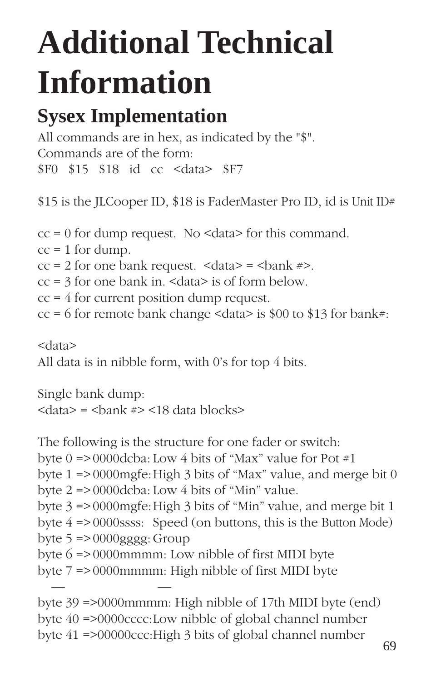# **Additional Technical Information**

# **Sysex Implementation**

All commands are in hex, as indicated by the "\$". Commands are of the form: \$F0 \$15 \$18 id cc <data> \$F7

\$15 is the JLCooper ID, \$18 is FaderMaster Pro ID, id is Unit ID#

 $cc = 0$  for dump request. No  $\leq$  data> for this command.  $cc = 1$  for dump.  $cc = 2$  for one bank request.  $\langle \text{data} \rangle = \langle \text{bank} \rangle$ .  $cc = 3$  for one bank in. <data> is of form below.  $cc = 4$  for current position dump request.  $cc = 6$  for remote bank change <data> is \$00 to \$13 for bank#:

<data> All data is in nibble form, with 0's for top 4 bits.

Single bank dump:  $\langle \text{data} \rangle = \langle \text{bank} \rangle = \langle 18 \rangle$  data blocks

The following is the structure for one fader or switch: byte  $0 = > 0000$ dcba: Low 4 bits of "Max" value for Pot #1 byte 1 => 0000mgfe:High 3 bits of "Max" value, and merge bit 0 byte 2 => 0000dcba: Low 4 bits of "Min" value. byte 3 => 0000mgfe:High 3 bits of "Min" value, and merge bit 1 byte 4 => 0000ssss: Speed (on buttons, this is the Button Mode) byte  $5 = 0000$ gggg: Group byte 6 => 0000mmmm: Low nibble of first MIDI byte byte 7 => 0000mmmm: High nibble of first MIDI byte — byte 39 =>0000mmmm: High nibble of 17th MIDI byte (end) byte 40 =>0000cccc:Low nibble of global channel number

byte  $41 = 500000$ ccc:High 3 bits of global channel number 69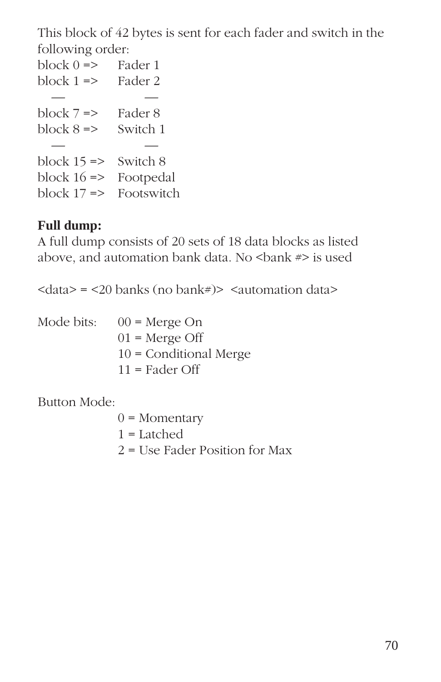This block of 42 bytes is sent for each fader and switch in the following order:

block  $0 \Rightarrow$  Fader 1 block  $1 \Rightarrow$  Fader 2 — block  $7 \Rightarrow$  Fader 8 block  $8 \Rightarrow$  Switch 1 — block  $15 \approx$  Switch 8 block  $16 \Rightarrow$  Footpedal block  $17 \Rightarrow$  Footswitch

## **Full dump:**

A full dump consists of 20 sets of 18 data blocks as listed above, and automation bank data. No  $\epsilon$ bank  $\neq$  is used

 $\langle \text{data} \rangle = \langle 20 \text{ banks} (\text{no bank}) \rangle$   $\langle \text{autom} \rangle$  data

| Mode bits: | $00$ = Merge On          |
|------------|--------------------------|
|            | $01$ = Merge Off         |
|            | $10 =$ Conditional Merge |
|            | $11 =$ Fader Off         |

Button Mode:

 $0 =$ Momentary 1 = Latched 2 = Use Fader Position for Max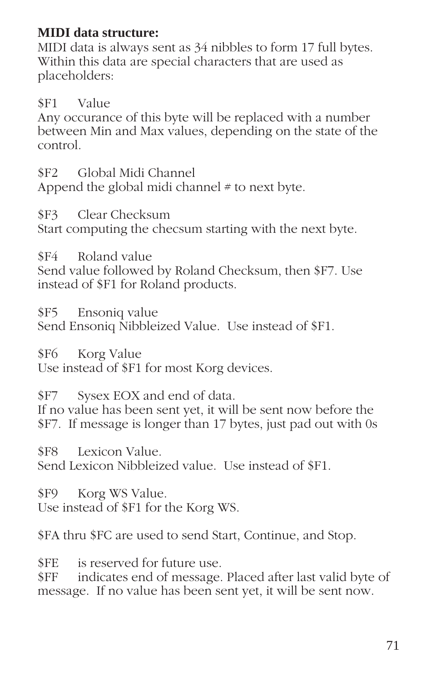## **MIDI data structure:**

MIDI data is always sent as 34 nibbles to form 17 full bytes. Within this data are special characters that are used as placeholders:

\$F1 Value

Any occurance of this byte will be replaced with a number between Min and Max values, depending on the state of the control.

\$F2 Global Midi Channel Append the global midi channel  $#$  to next byte.

\$F3 Clear Checksum Start computing the checsum starting with the next byte.

\$F4 Roland value

Send value followed by Roland Checksum, then \$F7. Use instead of \$F1 for Roland products.

\$F5 Ensoniq value Send Ensoniq Nibbleized Value. Use instead of \$F1.

\$F6 Korg Value Use instead of \$F1 for most Korg devices.

\$F7 Sysex EOX and end of data. If no value has been sent yet, it will be sent now before the \$F7. If message is longer than 17 bytes, just pad out with 0s

\$F8 Lexicon Value. Send Lexicon Nibbleized value. Use instead of \$F1.

\$F9 Korg WS Value. Use instead of \$F1 for the Korg WS.

\$FA thru \$FC are used to send Start, Continue, and Stop.

\$FE is reserved for future use.

\$FF indicates end of message. Placed after last valid byte of message. If no value has been sent yet, it will be sent now.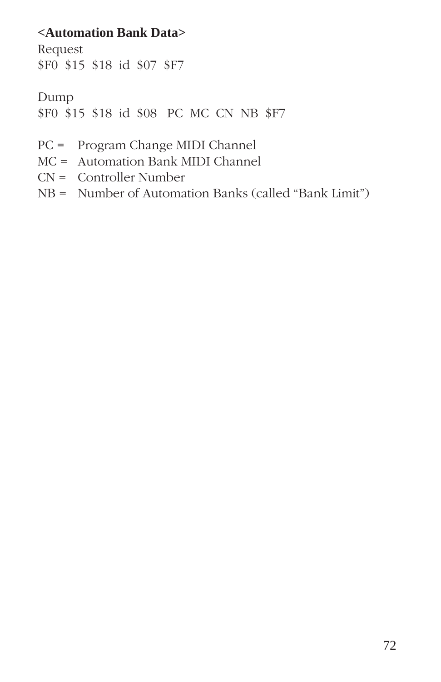## **<Automation Bank Data>**

Request \$F0 \$15 \$18 id \$07 \$F7

Dump \$F0 \$15 \$18 id \$08 PC MC CN NB \$F7

- PC = Program Change MIDI Channel
- MC = Automation Bank MIDI Channel
- CN = Controller Number
- NB = Number of Automation Banks (called "Bank Limit")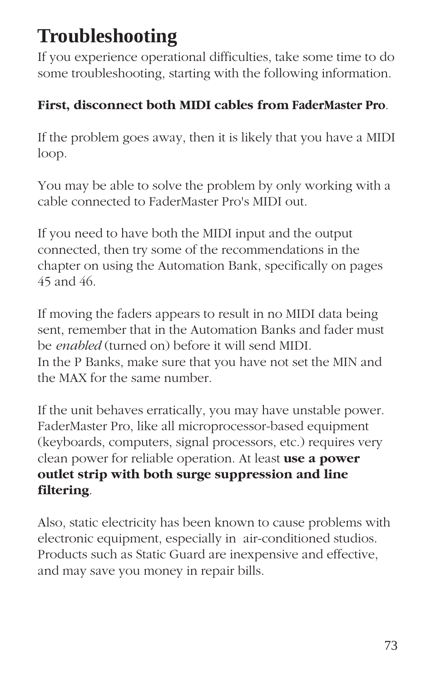# **Troubleshooting**

If you experience operational difficulties, take some time to do some troubleshooting, starting with the following information.

## **First, disconnect both MIDI cables from FaderMaster Pro**.

If the problem goes away, then it is likely that you have a MIDI loop.

You may be able to solve the problem by only working with a cable connected to FaderMaster Pro's MIDI out.

If you need to have both the MIDI input and the output connected, then try some of the recommendations in the chapter on using the Automation Bank, specifically on pages 45 and 46.

If moving the faders appears to result in no MIDI data being sent, remember that in the Automation Banks and fader must be *enabled* (turned on) before it will send MIDI. In the P Banks, make sure that you have not set the MIN and the MAX for the same number.

If the unit behaves erratically, you may have unstable power. FaderMaster Pro, like all microprocessor-based equipment (keyboards, computers, signal processors, etc.) requires very clean power for reliable operation. At least **use a power outlet strip with both surge suppression and line filtering**.

Also, static electricity has been known to cause problems with electronic equipment, especially in air-conditioned studios. Products such as Static Guard are inexpensive and effective, and may save you money in repair bills.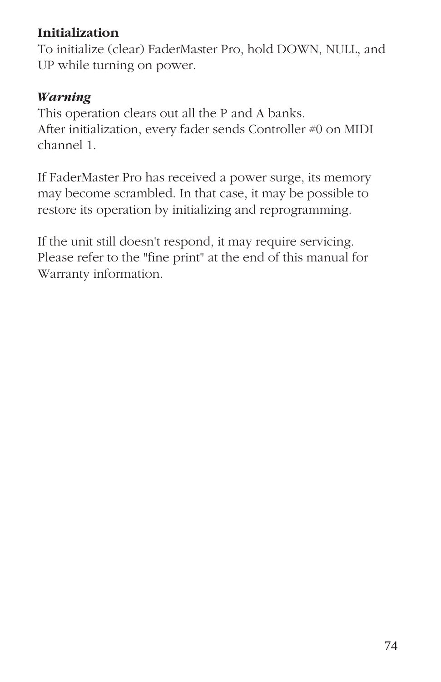## **Initialization**

To initialize (clear) FaderMaster Pro, hold DOWN, NULL, and UP while turning on power.

### *Warning*

This operation clears out all the P and A banks. After initialization, every fader sends Controller #0 on MIDI channel 1.

If FaderMaster Pro has received a power surge, its memory may become scrambled. In that case, it may be possible to restore its operation by initializing and reprogramming.

If the unit still doesn't respond, it may require servicing. Please refer to the "fine print" at the end of this manual for Warranty information.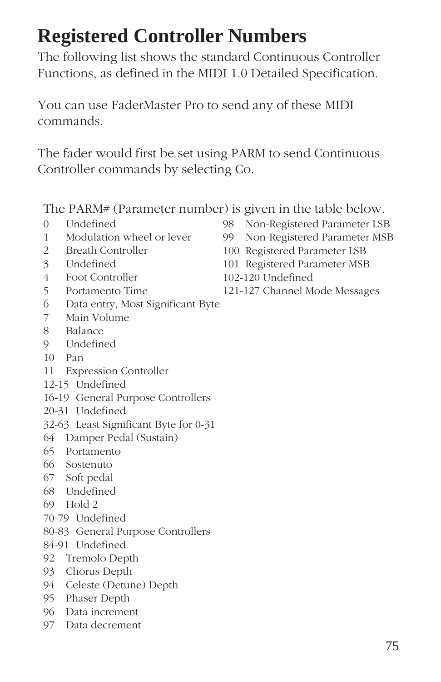## **Registered Controller Numbers**

The following list shows the standard Continuous Controller Functions, as defined in the MIDI 1.0 Detailed Specification.

You can use FaderMaster Pro to send any of these MIDI commands.

The fader would first be set using PARM to send Continuous Controller commands by selecting Co.

The PARM# (Parameter number) is given in the table below.

- 0 Undefined
- 1 Modulation wheel or lever
- 2 Breath Controller
- 3 Undefined
- 4 Foot Controller
- 5 Portamento Time
- 6 Data entry, Most Significant Byte
- 7 Main Volume
- 8 Balance
- 9 Undefined
- 10 Pan
- 11 Expression Controller
- 12-15 Undefined
- 16-19 General Purpose Controllers
- 20-31 Undefined
- 32-63 Least Significant Byte for 0-31
- 64 Damper Pedal (Sustain)
- 65 Portamento
- 66 Sostenuto
- 67 Soft pedal
- 68 Undefined
- 69 Hold 2
- 70-79 Undefined
- 80-83 General Purpose Controllers
- 84-91 Undefined
- 92 Tremolo Depth
- 93 Chorus Depth
- 94 Celeste (Detune) Depth
- 95 Phaser Depth
- 96 Data increment
- 97 Data decrement
- 
- 98 Non-Registered Parameter LSB
- 99 Non-Registered Parameter MSB
- 100 Registered Parameter LSB
- 101 Registered Parameter MSB
- 102-120 Undefined
- 121-127 Channel Mode Messages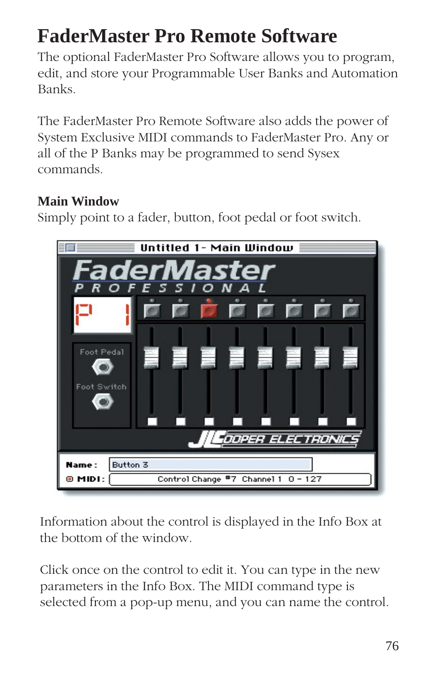# **FaderMaster Pro Remote Software**

The optional FaderMaster Pro Software allows you to program, edit, and store your Programmable User Banks and Automation Banks.

The FaderMaster Pro Remote Software also adds the power of System Exclusive MIDI commands to FaderMaster Pro. Any or all of the P Banks may be programmed to send Sysex commands.

## **Main Window**

Simply point to a fader, button, foot pedal or foot switch.



Information about the control is displayed in the Info Box at the bottom of the window.

Click once on the control to edit it. You can type in the new parameters in the Info Box. The MIDI command type is selected from a pop-up menu, and you can name the control.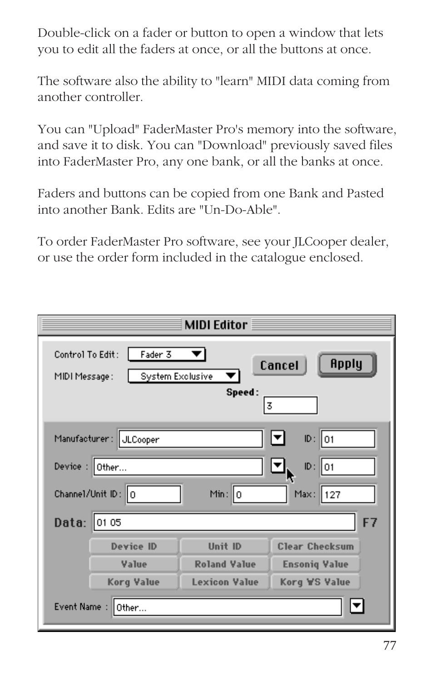Double-click on a fader or button to open a window that lets you to edit all the faders at once, or all the buttons at once.

The software also the ability to "learn" MIDI data coming from another controller.

You can "Upload" FaderMaster Pro's memory into the software, and save it to disk. You can "Download" previously saved files into FaderMaster Pro, any one bank, or all the banks at once.

Faders and buttons can be copied from one Bank and Pasted into another Bank. Edits are "Un-Do-Able".

To order FaderMaster Pro software, see your JLCooper dealer, or use the order form included in the catalogue enclosed.

| <b>MIDI Editor</b>                                                                                 |                      |                       |
|----------------------------------------------------------------------------------------------------|----------------------|-----------------------|
| Control To Edit:<br>Fader 3<br>Apply<br>Cancel<br>System Exclusive<br>MIDI Message:<br>Speed:<br>3 |                      |                       |
| Manufacturer: JLCooper                                                                             |                      | $ID: \parallel 01$    |
| Device:<br>ID:<br>lo1<br>Other                                                                     |                      |                       |
| Channel/Unit ID: 0                                                                                 | Min: $ 0 $           | Max:<br>   127        |
| F7<br>Data:<br>01 05                                                                               |                      |                       |
| <b>Device ID</b>                                                                                   | Unit ID              | <b>Clear Checksum</b> |
| Value                                                                                              | <b>Roland Value</b>  | <b>Ensoniq Value</b>  |
| <b>Korg Value</b>                                                                                  | <b>Lexicon Value</b> | Korg ₩S Value         |
| Event Name:<br>Other                                                                               |                      |                       |